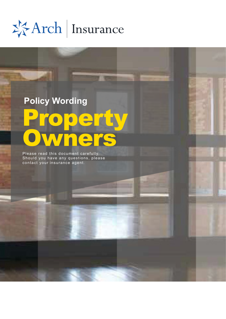\*\*Arch | Insurance

# perty **Owners Policy Wording**

Please read this document carefully. Should you have any questions, please contact your insurance agent.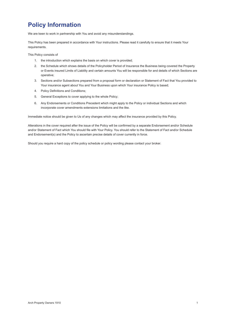# **Policy Information**

We are keen to work in partnership with You and avoid any misunderstandings.

This Policy has been prepared in accordance with Your instructions. Please read it carefully to ensure that it meets Your requirements.

This Policy consists of

- 1. the introduction which explains the basis on which cover is provided;
- 2. the Schedule which shows details of the Policyholder Period of Insurance the Business being covered the Property or Events insured Limits of Liability and certain amounts You will be responsible for and details of which Sections are operative;
- 3. Sections and/or Subsections prepared from a proposal form or declaration or Statement of Fact that You provided to Your insurance agent about You and Your Business upon which Your insurance Policy is based;
- 4. Policy Definitions and Conditions;
- 5. General Exceptions to cover applying to the whole Policy;
- 6. Any Endorsements or Conditions Precedent which might apply to the Policy or individual Sections and which incorporate cover amendments extensions limitations and the like.

Immediate notice should be given to Us of any changes which may affect the insurance provided by this Policy.

Alterations in the cover required after the issue of the Policy will be confirmed by a separate Endorsement and/or Schedule and/or Statement of Fact which You should file with Your Policy. You should refer to the Statement of Fact and/or Schedule and Endorsement(s) and the Policy to ascertain precise details of cover currently in force.

Should you require a hard copy of the policy schedule or policy wording please contact your broker.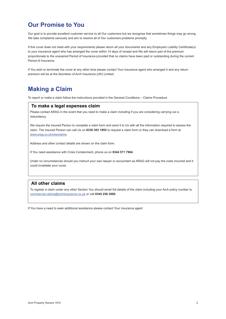### **Our Promise to You**

Our goal is to provide excellent customer service to all Our customers but we recognise that sometimes things may go wrong. We take complaints seriously and aim to resolve all of Our customers problems promptly.

If this cover does not meet with your requirements please return all your documents and any Employers Liability Certificate(s) to your insurance agent who has arranged the cover within 14 days of receipt and We will return part of the premium proportionate to the unexpired Period of Insurance provided that no claims have been paid or outstanding during the current Period of Insurance.

If You wish to terminate the cover at any other time please contact Your insurance agent who arranged it and any return premium will be at the discretion of Arch Insurance (UK) Limited.

### **Making a Claim**

To report or make a claim follow the instructions provided in the General Conditions – Claims Procedure

### **To make a legal expenses claim**

Please contact ARAG in the event that you need to make a claim including if you are considering carrying out a redundancy.

We require the Insured Person to complete a claim form and send it to Us with all the information required to assess the claim. The Insured Person can call Us on **0330 303 1955** to request a claim form or they can download a form at [www.arag.co.uk/newclaims](http://www.arag.co.uk/newclaims).

Address and other contact details are shown on the claim form.

If You need assistance with Crisis Containment, phone us on **0344 571 7964**.

Under no circumstances should you instruct your own lawyer or accountant as ARAG will not pay the costs incurred and it could invalidate your cover.

### **All other claims**

To register a claim under any other Section You should email full details of the claim including your Arch policy number to [commercial.claims@archinsurance.co.uk](mailto:commercial.claims%40archinsurance.co.uk?subject=Claim) or call **0345 258 3880**.

If You have a need to seek additional assistance please contact Your insurance agent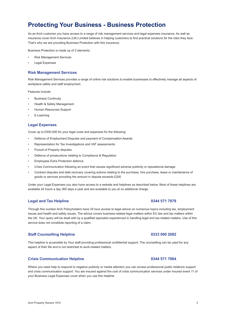### **Protecting Your Business - Business Protection**

As an Arch customer you have access to a range of risk management services and legal expenses insurance. As well as insurance cover Arch Insurance (UK) Limited believes in helping customers to find practical solutions for the risks they face. That's why we are providing Business Protection with this insurance.

Business Protection is made up of 2 elements:

- Risk Management Services
- Legal Expenses

#### **Risk Management Services**

Risk Management Services provides a range of online risk solutions to enable businesses to effectively manage all aspects of workplace safety and staff employment.

Features include:

- **Business Continuity**
- Health & Safety Management
- Human Resources Support
- E-Learning

#### **Legal Expenses**

Cover up to £500,000 for your legal costs and expenses for the following:

- • Defence of Employment Disputes and payment of Compensation Awards
- Representation for Tax Investigations and VAT assessments
- Pursuit of Property disputes
- Defence of prosecutions relating to Compliance & Regulation
- Employees Extra Protection defence
- • Crisis Communication following an event that causes significant adverse publicity or reputational damage
- Contract disputes and debt recovery covering actions relating to the purchase, hire purchase, lease or maintenance of goods or services providing the amount in dispute exceeds £200

Under your Legal Expenses you also have access to a website and helplines as described below. Most of these helplines are available 24 hours a day 365 days a year and are available to you at no additional charge.

#### **Legal and Tax Helpline 0344 571 7978**

Through this number Arch Policyholders have 24 hour access to legal advice on numerous topics including tax, employment issues and health and safety issues. The advice covers business-related legal matters within EU law and tax matters within the UK. Your query will be dealt with by a qualified specialist experienced in handling legal and tax-related matters. Use of this service does not constitute reporting of a claim.

#### **Staff Counselling Helpline 0333 000 2082**

This helpline is accessible by Your staff providing professional confidential support. The counselling can be used for any aspect of their life and is not restricted to work-related matters.

#### **Crisis Communication Helpline 120 and 130 and 130 and 130 and 130 and 130 and 130 and 130 and 130 and 130 and 130 and 130 and 130 and 130 and 130 and 130 and 130 and 130 and 130 and 130 and 130 and 130 and 130 and 130 and**

Where you need help to respond to negative publicity or media attention you can access professional public relations support and crisis communication support. You are insured against the cost of crisis communication services under Insured event 11 of your Business Legal Expenses cover when you use this helpline.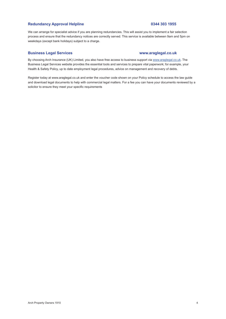### Redundancy Approval Helpline **1996** 1955

We can arrange for specialist advice if you are planning redundancies. This will assist you to implement a fair selection process and ensure that the redundancy notices are correctly served. This service is available between 9am and 5pm on weekdays (except bank holidays) subject to a charge.

#### **Business Legal Services [www.araglegal.co.uk](http://www.araglegal.co.uk)**

By choosing Arch Insurance (UK) Limited, you also have free access to business support via [www.araglegal.co.uk](http://www.araglegal.co.uk). The Business Legal Services website provides the essential tools and services to prepare vital paperwork; for example, your Health & Safety Policy, up to date employment legal procedures, advice on management and recovery of debts.

Register today at [www.araglegal.co.uk](http://www.araglegal.co.uk) and enter the voucher code shown on your Policy schedule to access the law guide and download legal documents to help with commercial legal matters. For a fee you can have your documents reviewed by a solicitor to ensure they meet your specific requirements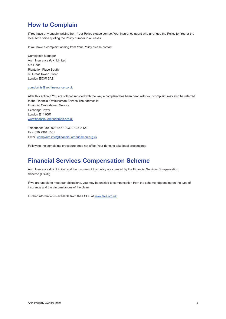### **How to Complain**

If You have any enquiry arising from Your Policy please contact Your insurance agent who arranged the Policy for You or the local Arch office quoting the Policy number in all cases

If You have a complaint arising from Your Policy please contact

Complaints Manager Arch Insurance (UK) Limited 5th Floor Plantation Place South 60 Great Tower Street London EC3R 5AZ

#### [complaints@archinsurance.co.uk](mailto:complaints@archinsurance.co.uk)

After this action if You are still not satisfied with the way a complaint has been dealt with Your complaint may also be referred to the Financial Ombudsman Service The address is Financial Ombudsman Service Exchange Tower London E14 9SR [www.financial-ombudsman.org.uk](http://www.financial-ombudsman.org.uk )

Telephone: 0800 023 4567 / 0300 123 9 123 Fax: 020 7964 1001 Email: [complaint.info@financial-ombudsman.org.uk](mailto:complaint.info%40financial-ombudsman.org.uk?subject=Complaint)

Following the complaints procedure does not affect Your rights to take legal proceedings

### **Financial Services Compensation Scheme**

Arch Insurance (UK) Limited and the insurers of this policy are covered by the Financial Services Compensation Scheme (FSCS).

If we are unable to meet our obligations, you may be entitled to compensation from the scheme, depending on the type of insurance and the circumstances of the claim.

Further information is available from the FSCS at [www.fscs.org.uk](http://www.fscs.org.uk)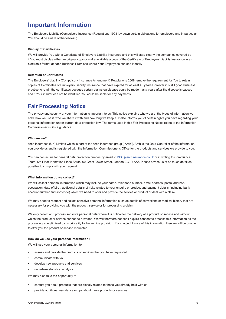### **Important Information**

The Employers Liability (Compulsory Insurance) Regulations 1998 lay down certain obligations for employers and in particular You should be aware of the following

#### **Display of Certificates**

We will provide You with a Certificate of Employers Liability Insurance and this will state clearly the companies covered by it You must display either an original copy or make available a copy of the Certificate of Employers Liability Insurance in an electronic format at each Business Premises where Your Employees can see it easily

#### **Retention of Certificates**

The Employers' Liability (Compulsory Insurance Amendment) Regulations 2008 remove the requirement for You to retain copies of Certificates of Employers Liability Insurance that have expired for at least 40 years However it is still good business practice to retain the certificates because certain claims eg disease could be made many years after the disease is caused and if Your insurer can not be identified You could be liable for any payments

### **Fair Processing Notice**

The privacy and security of your information is important to us. This notice explains who we are, the types of information we hold, how we use it, who we share it with and how long we keep it. It also informs you of certain rights you have regarding your personal information under current data protection law. The terms used in this Fair Processing Notice relate to the Information Commissioner's Office guidance.

#### **Who are we?**

Arch Insurance (UK) Limited which is part of the Arch Insurance group ("Arch"). Arch is the Data Controller of the information you provide us and is registered with the Information Commissioner's Office for the products and services we provide to you.

You can contact us for general data protection queries by email to [DPO@archinsurance.co.uk](mailto:DPO%40archinsurance.co.uk?subject=) or in writing to Compliance Team, 5th Floor Plantation Place South, 60 Great Tower Street, London EC3R 5AZ. Please advise us of as much detail as possible to comply with your request.

#### **What information do we collect?**

We will collect personal information which may include your name, telephone number, email address, postal address, occupation, date of birth, additional details of risks related to your enquiry or product and payment details (including bank account number and sort code) which we need to offer and provide the service or product or deal with a claim.

We may need to request and collect sensitive personal information such as details of convictions or medical history that are necessary for providing you with the product, service or for processing a claim.

We only collect and process sensitive personal data where it is critical for the delivery of a product or service and without which the product or service cannot be provided. We will therefore not seek explicit consent to process this information as the processing is legitimised by its criticality to the service provision. If you object to use of this information then we will be unable to offer you the product or service requested.

#### **How do we use your personal information?**

We will use your personal information to

- assess and provide the products or services that you have requested
- communicate with you
- develop new products and services
- undertake statistical analysis

We may also take the opportunity to

- contact you about products that are closely related to those you already hold with us
- provide additional assistance or tips about these products or services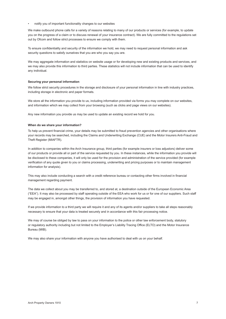• notify you of important functionality changes to our websites

We make outbound phone calls for a variety of reasons relating to many of our products or services (for example, to update you on the progress of a claim or to discuss renewal of your insurance contract). We are fully committed to the regulations set out by Ofcom and follow strict processes to ensure we comply with them.

To ensure confidentiality and security of the information we hold, we may need to request personal information and ask security questions to satisfy ourselves that you are who you say you are.

We may aggregate information and statistics on website usage or for developing new and existing products and services, and we may also provide this information to third parties. These statistics will not include information that can be used to identify any individual.

#### **Securing your personal information**

We follow strict security procedures in the storage and disclosure of your personal information in line with industry practices, including storage in electronic and paper formats.

We store all the information you provide to us, including information provided via forms you may complete on our websites, and information which we may collect from your browsing (such as clicks and page views on our websites).

Any new information you provide us may be used to update an existing record we hold for you.

#### **When do we share your information?**

To help us prevent financial crime, your details may be submitted to fraud prevention agencies and other organisations where your records may be searched, including the Claims and Underwriting Exchange (CUE) and the Motor Insurers Anti-Fraud and Theft Register (MIAFTR).

In addition to companies within the Arch Insurance group, third parties (for example insurers or loss adjustors) deliver some of our products or provide all or part of the service requested by you. In these instances, while the information you provide will be disclosed to these companies, it will only be used for the provision and administration of the service provided (for example verification of any quote given to you or claims processing, underwriting and pricing purposes or to maintain management information for analysis).

This may also include conducting a search with a credit reference bureau or contacting other firms involved in financial management regarding payment.

The data we collect about you may be transferred to, and stored at, a destination outside of the European Economic Area ("EEA"). It may also be processed by staff operating outside of the EEA who work for us or for one of our suppliers. Such staff may be engaged in, amongst other things, the provision of information you have requested.

If we provide information to a third party we will require it and any of its agents and/or suppliers to take all steps reasonably necessary to ensure that your data is treated securely and in accordance with this fair processing notice.

We may of course be obliged by law to pass on your information to the police or other law enforcement body, statutory or regulatory authority including but not limited to the Employer's Liability Tracing Office (ELTO) and the Motor Insurance Bureau (MIB).

We may also share your information with anyone you have authorised to deal with us on your behalf.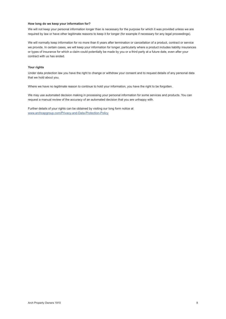#### **How long do we keep your information for?**

We will not keep your personal information longer than is necessary for the purpose for which it was provided unless we are required by law or have other legitimate reasons to keep it for longer (for example if necessary for any legal proceedings).

We will normally keep information for no more than 6 years after termination or cancellation of a product, contract or service we provide. In certain cases, we will keep your information for longer, particularly where a product includes liability insurances or types of insurance for which a claim could potentially be made by you or a third party at a future date, even after your contract with us has ended.

#### **Your rights**

Under data protection law you have the right to change or withdraw your consent and to request details of any personal data that we hold about you.

Where we have no legitimate reason to continue to hold your information, you have the right to be forgotten.

We may use automated decision making in processing your personal information for some services and products. You can request a manual review of the accuracy of an automated decision that you are unhappy with.

Further details of your rights can be obtained by visiting our long form notice at [www.archcapgroup.com/Privacy-and-Data-Protection-Policy](http://www.archcapgroup.com/Privacy-and-Data-Protection-Policy)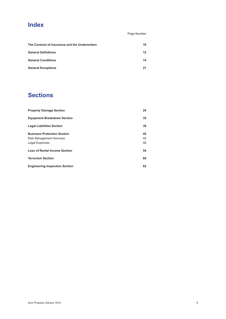### **Index**

Page Number

| The Contract of Insurance and the Underwriters | 10 |
|------------------------------------------------|----|
| <b>General Definitions</b>                     | 12 |
| <b>General Conditions</b>                      | 14 |
| <b>General Exceptions</b>                      | 21 |

# **Sections**

| <b>Property Damage Section</b>        | 24 |
|---------------------------------------|----|
| <b>Equipment Breakdown Section</b>    | 35 |
| <b>Legal Liabilities Section</b>      | 39 |
| <b>Business Protection Section</b>    | 45 |
| <b>Risk Management Services</b>       | 45 |
| Legal Expenses                        | 46 |
| <b>Loss of Rental Income Section</b>  | 54 |
| <b>Terrorism Section</b>              | 60 |
| <b>Engineering Inspection Section</b> | 62 |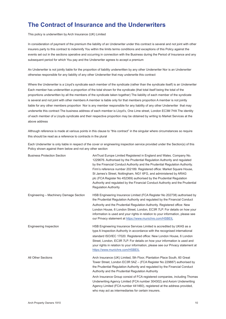### <span id="page-10-0"></span>**The Contract of Insurance and the Underwriters**

This policy is underwritten by Arch Insurance (UK) Limited

In consideration of payment of the premium the liability of an Underwriter under this contract is several and not joint with other insurers party to this contract to indemnify You within the limits terms conditions and exceptions of this Policy against the events set out in the sections operative and occurring in connection with the Business during the Period of Insurance and any subsequent period for which You pay and the Underwriter agrees to accept a premium

An Underwriter is not jointly liable for the proportion of liability underwritten by any other Underwriter Nor is an Underwriter otherwise responsible for any liability of any other Underwriter that may underwrite this contract

Where the Underwriter is a Lloyd's syndicate each member of the syndicate (rather than the syndicate itself) is an Underwriter Each member has underwritten a proportion of the total shown for the syndicate (that total itself being the total of the proportions underwritten by all the members of the syndicate taken together) The liability of each member of the syndicate is several and not joint with other members A member is liable only for that members proportion A member is not jointly liable for any other members proportion Nor is any member responsible for any liability of any other Underwriter that may underwrite this contract The business address of each member is Lloyd's, One Lime street, London EC3M 7HA The identity of each member of a Lloyds syndicate and their respective proportion may be obtained by writing to Market Services at the above address

Although reference is made at various points in this clause to "this contract" in the singular where circumstances so require this should be read as a reference to contracts in the plural

Each Underwriter is only liable in respect of the cover or engineering inspection service provided under the Section(s) of this Policy shown against them below and not any other section

| <b>Business Protection Section</b>     | AmTrust Europe Limited Registered in England and Wales. Company No.<br>1229676. Authorised by the Prudential Regulation Authority and regulated<br>by the Financial Conduct Authority and the Prudential Regulation Authority.<br>Firm's reference number 202189. Registered office: Market Square House,<br>St James's Street, Nottingham, NG1 6FG, and administered by ARAG<br>plc (FCA Register No 452369) authorised by the Prudential Regulation<br>Authority and regulated by the Financial Conduct Authority and the Prudential<br><b>Regulation Authority</b> |
|----------------------------------------|-----------------------------------------------------------------------------------------------------------------------------------------------------------------------------------------------------------------------------------------------------------------------------------------------------------------------------------------------------------------------------------------------------------------------------------------------------------------------------------------------------------------------------------------------------------------------|
| Engineering - Machinery Damage Section | HSB Engineering Insurance Limited (FCA Register No 202738) authorised by<br>the Prudential Regulation Authority and regulated by the Financial Conduct<br>Authority and the Prudential Regulation Authority. Registered office: New<br>London House, 6 London Street, London, EC3R 7LP. For details on how your<br>information is used and your rights in relation to your information, please see<br>our Privacy statement at https://www.munichre.com/HSBEIL                                                                                                        |
| <b>Engineering Inspection</b>          | HSB Engineering Insurance Services Limited is accredited by UKAS as a<br>type A Inspection Authority in accordance with the recognised international<br>standard ISO/IEC 17020. Registered office: New London House, 6 London<br>Street, London, EC3R 7LP. For details on how your information is used and<br>your rights in relation to your information, please see our Privacy statement at<br>https://www.munichre.com/HSBEIL                                                                                                                                     |
| <b>All Other Sections</b>              | Arch Insurance (UK) Limited, 5th Floor, Plantation Place South, 60 Great<br>Tower Street, London EC3R 5AZ - (FCA Register No 229887) authorised by<br>the Prudential Regulation Authority and regulated by the Financial Conduct<br>Authority and the Prudential Regulation Authority                                                                                                                                                                                                                                                                                 |
|                                        | Arch Insurance Group consist of FCA registered companies, including Thomas<br>Underwriting Agency Limited (FCA number 304302) and Axiom Underwriting<br>Agency Limited (FCA number 441460), registered at the address provided,<br>who may act as intermediaries for certain insurers.                                                                                                                                                                                                                                                                                |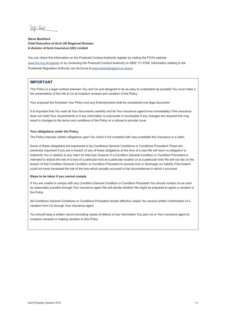Jelho Sast

#### **Steve Bashford Chief Executive of Arch UK Regional Division A division of Arch Insurance (UK) Limited**

You can check this information on the Financial Conduct Authority register by visiting the FCA's website [www.fca.org.uk/register](http://www.fca.org.uk/register) or by contacting the Financial Conduct Authority on 0800 111 6768. Information relating to the Prudential Regulation Authority can be found at [www.bankofengland.co.uk/pra](http://www.bankofengland.co.uk/pra)

#### **IMPORTANT**

This Policy is a legal contract between You and Us and designed to be as easy to understand as possible You must make a fair presentation of the risk to Us at inception renewal and variation of the Policy

Your proposal the Schedule Your Policy and any Endorsements shall be considered one legal document

It is important that You read all Your documents carefully and let Your insurance agent know immediately if the insurance does not meet Your requirements or if any information is inaccurate or incomplete If any changes are required this may result in changes to the terms and conditions of the Policy or a refusal to provide cover

#### **Your obligations under the Policy**

The Policy imposes certain obligations upon You which if not complied with may invalidate this insurance or a claim

Some of these obligations are expressed to be Conditions General Conditions or Conditions Precedent These are extremely important If you are in breach of any of these obligations at the time of a loss We will have no obligation to indemnify You in relation to any claim for that loss However if a Condition General Condition or Condition Precedent is intended to reduce the risk of a loss of a particular kind at a particular location or at a particular time We will not rely on the breach of that Condition General Condition or Condition Precedent to exclude limit or discharge our liability if the breach could not have increased the risk of the loss which actually occurred in the circumstances in which it occurred

#### **Steps to be taken if you cannot comply**

If You are unable to comply with any Condition General Condition or Condition Precedent You should contact Us as soon as reasonably possible through Your insurance agent We will decide whether We might be prepared to agree a variation in the Policy

All Conditions General Conditions or Conditions Precedent remain effective unless You receive written confirmation of a variation from Us through Your insurance agent

You should keep a written record (including copies of letters) of any information You give Us or Your insurance agent at inception renewal or making variation to this Policy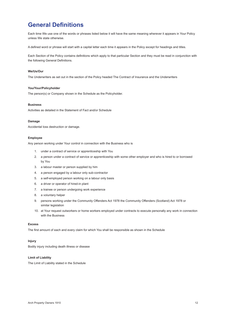### <span id="page-12-0"></span>**General Definitions**

Each time We use one of the words or phrases listed below it will have the same meaning wherever it appears in Your Policy unless We state otherwise.

A defined word or phrase will start with a capital letter each time it appears in the Policy except for headings and titles.

Each Section of the Policy contains definitions which apply to that particular Section and they must be read in conjunction with the following General Definitions.

#### **We/Us/Our**

The Underwriters as set out in the section of the Policy headed The Contract of Insurance and the Underwriters

#### **You/Your/Policyholder**

The person(s) or Company shown in the Schedule as the Policyholder.

#### **Business**

Activities as detailed in the Statement of Fact and/or Schedule

#### **Damage**

Accidental loss destruction or damage.

#### **Employee**

Any person working under Your control in connection with the Business who is

- 1. under a contract of service or apprenticeship with You
- 2. a person under a contract of service or apprenticeship with some other employer and who is hired to or borrowed by You
- 3. a labour master or person supplied by him
- 4. a person engaged by a labour only sub-contractor
- 5. a self-employed person working on a labour only basis
- 6. a driver or operator of hired-in plant
- 7. a trainee or person undergoing work experience
- 8. a voluntary helper
- 9. persons working under the Community Offenders Act 1978 the Community Offenders (Scotland) Act 1978 or similar legislation
- 10. at Your request outworkers or home workers employed under contracts to execute personally any work in connection with the Business

#### **Excess**

The first amount of each and every claim for which You shall be responsible as shown in the Schedule

#### **Injury**

Bodily injury including death illness or disease

#### **Limit of Liability**

The Limit of Liability stated in the Schedule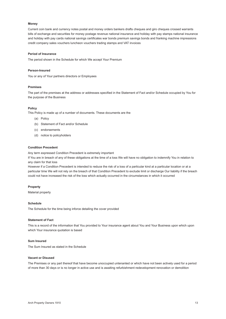#### **Money**

Current coin bank and currency notes postal and money orders bankers drafts cheques and giro cheques crossed warrants bills of exchange and securities for money postage revenue national insurance and holiday with pay stamps national insurance and holiday with pay cards national savings certificates war bonds premium savings bonds and franking machine impressions credit company sales vouchers luncheon vouchers trading stamps and VAT invoices

#### **Period of Insurance**

The period shown in the Schedule for which We accept Your Premium

#### **Person-Insured**

You or any of Your partners directors or Employees

#### **Premises**

The part of the premises at the address or addresses specified in the Statement of Fact and/or Schedule occupied by You for the purpose of the Business

#### **Policy**

This Policy is made up of a number of documents. These documents are the

- (a) Policy
- (b) Statement of Fact and/or Schedule
- (c) endorsements
- (d) notice to policyholders

#### **Condition Precedent**

Any term expressed Condition Precedent is extremely important

If You are in breach of any of these obligations at the time of a loss We will have no obligation to indemnify You in relation to any claim for that loss

However if a Condition Precedent is intended to reduce the risk of a loss of a particular kind at a particular location or at a particular time We will not rely on the breach of that Condition Precedent to exclude limit or discharge Our liability if the breach could not have increased the risk of the loss which actually occurred in the circumstances in which it occurred

#### **Property**

Material property

#### **Schedule**

The Schedule for the time being inforce detailing the cover provided

#### **Statement of Fact**

This is a record of the information that You provided to Your insurance agent about You and Your Business upon which upon which Your insurance quotation is based

#### **Sum Insured**

The Sum Insured as stated in the Schedule

#### **Vacant or Disused**

The Premises or any part thereof that have become unoccupied untenanted or which have not been actively used for a period of more than 30 days or is no longer in active use and is awaiting refurbishment redevelopment renovation or demolition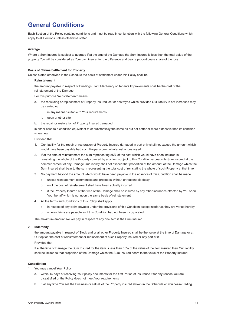# <span id="page-14-0"></span>**General Conditions**

Each Section of the Policy contains conditions and must be read in conjunction with the following General Conditions which apply to all Sections unless otherwise stated

#### **Average**

Where a Sum Insured is subject to average if at the time of the Damage the Sum Insured is less than the total value of the property You will be considered as Your own insurer for the difference and bear a proportionate share of the loss

#### **Basis of Claims Settlement for Property**

Unless stated otherwise in the Schedule the basis of settlement under this Policy shall be

#### 1. **Reinstatement**

 the amount payable in respect of Buildings Plant Machinery or Tenants Improvements shall be the cost of the reinstatement of the Damage

For this purpose "reinstatement" means

- a. the rebuilding or replacement of Property Insured lost or destroyed which provided Our liability is not increased may be carried out
	- i. in any manner suitable to Your requirements
	- ii. upon another site
- b. the repair or restoration of Property Insured damaged

 in either case to a condition equivalent to or substantially the same as but not better or more extensive than its condition when new

Provided that

- 1. Our liability for the repair or restoration of Property Insured damaged in part only shall not exceed the amount which would have been payable had such Property been wholly lost or destroyed
- 2. If at the time of reinstatement the sum representing 85% of the cost which would have been incurred in reinstating the whole of the Property covered by any item subject to this Condition exceeds its Sum Insured at the commencement of any Damage Our liability shall not exceed that proportion of the amount of the Damage which the Sum Insured shall bear to the sum representing the total cost of reinstating the whole of such Property at that time
- 3. No payment beyond the amount which would have been payable in the absence of this Condition shall be made
	- a. unless reinstatement commences and proceeds without unreasonable delay
	- b. until the cost of reinstatement shall have been actually incurred
	- c. if the Property Insured at the time of the Damage shall be insured by any other insurance effected by You or on Your behalf which is not upon the same basis of reinstatement
- 4. All the terms and Conditions of this Policy shall apply
	- a. in respect of any claim payable under the provisions of this Condition except insofar as they are varied hereby
	- b. where claims are payable as if this Condition had not been incorporated

The maximum amount We will pay in respect of any one item is the Sum Insured

#### 2 **Indemnity**

 the amount payable in respect of Stock and or all other Property Insured shall be the value at the time of Damage or at Our option the cost of reinstatement or replacement of such Property Insured or any part of it

#### Provided that

If at the time of Damage the Sum Insured for the item is less than 85% of the value of the item insured then Our liability shall be limited to that proportion of the Damage which the Sum Insured bears to the value of the Property Insured

#### **Cancellation**

- 1. You may cancel Your Policy
	- a. within 14 days of receiving Your policy documents for the first Period of Insurance if for any reason You are dissatisfied or the Policy does not meet Your requirements
	- b. if at any time You sell the Business or sell all of the Property insured shown in the Schedule or You cease trading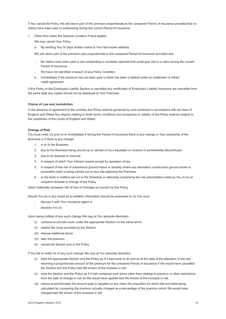If You cancel the Policy We will return part of the premium proportionate to the unexpired Period of Insurance provided that no claims have been paid or outstanding during the current Period of Insurance

1. Other than when the General Condition Fraud applies

We may cancel Your Policy

a. By sending You 30 days written notice to Your last known address

We will return part of the premium paid proportionate to the unexpired Period of Insurance provided that

- No claims have been paid or are outstanding or incidents reported that could give rise to a claim during the current Period of Insurance
- We have not identified a breach of any Policy Condition
- b. Immediately if the premium has not been paid or there has been a default under an instalment or linked credit agreement

If this Policy or the Employers Liability Section is cancelled any certificates of Employers Liability Insurance are cancelled from the same date any copies should not be displayed at Your Premises

#### **Choice of Law and Jurisdiction**

In the absence of agreement to the contrary this Policy shall be governed by and construed in accordance with the laws of England and Wales Any dispute relating to limits terms conditions and exceptions or validity of this Policy shall be subject to the jurisdiction of the courts of England and Wales

#### **Change of Risk**

You must notify Us prior to or immediately if during the Period of Insurance there is any change in Your ownership of the Business or if there is any change

- 1. in or to the Business
- 2. due to the Business being wound up or carried on by a liquidator or receiver or permanently discontinued
- 3. due to its disposal or removal
- 4. in respect of which Your interest ceases except by operation of law
- 5. in respect of the risk of subsidence ground heave or landslip where any demolition construction ground works or excavation work is being carried out on any site adjoining the Premises
- 6. to the facts or matters set out in the Schedule or otherwise comprising the risk presentation made by You to Us at inception renewal or change of the Policy

which materially increases risk of loss or Damage as Insured by this Policy

Should You be in any doubt as to whether information should be presented to Us You must

- discuss it with Your insurance agent or
- disclose it to Us

Upon being notified of any such change We may at Our absolute discretion

- (i) continue to provide cover under the appropriate Section on the same terms
- (ii) restrict the cover provided by the Section
- (iii) impose additional terms
- (iv) alter the premium
- (v) cancel the Section and or the Policy

If You fail to notify Us of any such change We may at Our absolute discretion

- (i) treat the appropriate Section and the Policy as if it had come to an end as at the date of the alteration of the risk returning a proportionate amount of the premium for the unexpired Period of Insurance if We would have cancelled the Section and the Policy had We known of the increase in risk
- (ii) treat the Section and the Policy as if it had contained such terms other than relating to premium or other restrictions from the date of change in risk as We would have applied had We known of the increase in risk
- (iii) reduce proportionately the amount paid or payable on any claim the proportion for which We are liable being calculated by comparing the premium actually charged as a percentage of the premium which We would have charged had We known of the increase in risk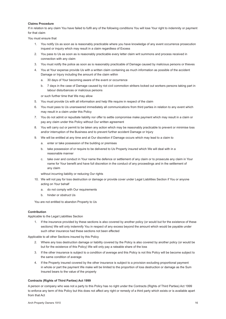#### **Claims Procedure**

If in relation to any claim You have failed to fulfil any of the following conditions You will lose Your right to indemnity or payment for that claim

You must ensure that

- 1. You notify Us as soon as is reasonably practicable where you have knowledge of any event occurrence prosecution inquest or inquiry which may result in a claim regardless of Excess
- 2. You pass to Us as soon as is reasonably practicable every letter claim writ summons and process received in connection with any claim
- 3. You must notify the police as soon as is reasonably practicable of Damage caused by malicious persons or thieves
- 4. You at Your expense provide Us with a written claim containing as much information as possible of the accident Damage or Injury including the amount of the claim within
	- a. 30 days of Your becoming aware of the event or occurrence
	- b. 7 days in the case of Damage caused by riot civil commotion strikers locked out workers persons taking part in labour disturbances or malicious persons

or such further time that We may allow

- 5. You must provide Us with all information and help We require in respect of the claim
- 6. You must pass to Us unanswered immediately all communications from third parties in relation to any event which may result in a claim under this Policy
- 7. You do not admit or repudiate liability nor offer to settle compromise make payment which may result in a claim or pay any claim under this Policy without Our written agreement
- 8. You will carry out or permit to be taken any action which may be reasonably practicable to prevent or minimise loss and/or interruption of the Business and to prevent further accident Damage or Injury
- 9. We will be entitled at any time and at Our discretion if Damage occurs which may lead to a claim to
	- a. enter or take possession of the building or premises
	- b. take possession of or require to be delivered to Us Property insured which We will deal with in a reasonable manner
	- c. take over and conduct in Your name the defence or settlement of any claim or to prosecute any claim in Your name for Your benefit and have full discretion in the conduct of any proceedings and in the settlement of any claim

without incurring liability or reducing Our rights

- 10. We will not pay for loss destruction or damage or provide cover under Legal Liabilities Section if You or anyone acting on Your behalf
	- a. do not comply with Our requirements
	- b. hinder or obstruct Us

You are not entitled to abandon Property to Us

#### **Contribution**

Applicable to the Legal Liabilities Section

1. If the insurance provided by these sections is also covered by another policy (or would but for the existence of these sections) We will only indemnify You in respect of any excess beyond the amount which would be payable under such other insurance had these sections not been effected

Applicable to all other Sections insured by this Policy

- 2. Where any loss destruction damage or liability covered by the Policy is also covered by another policy (or would be but for the existence of this Policy) We will only pay a rateable share of the loss
- 3. If the other insurance is subject to a condition of average and this Policy is not this Policy will be become subject to the same condition of average
- 4. If the Property insured covered by the other insurance is subject to a provision excluding proportional payment in whole or part the payment We make will be limited to the proportion of loss destruction or damage as the Sum Insured bears to the value of the property

#### **Contracts (Rights of Third Parties) Act 1999**

A person or company who was not a party to this Policy has no right under the Contracts (Rights of Third Parties) Act 1999 to enforce any term of this Policy but this does not affect any right or remedy of a third party which exists or is available apart from that Act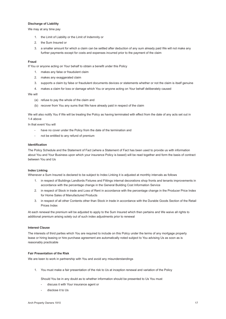#### **Discharge of Liability**

We may at any time pay

- 1. the Limit of Liability or the Limit of Indemnity or
- 2. the Sum Insured or
- 3. a smaller amount for which a claim can be settled after deduction of any sum already paid We will not make any further payments except for costs and expenses incurred prior to the payment of the claim

#### **Fraud**

If You or anyone acting on Your behalf to obtain a benefit under this Policy

- 1. makes any false or fraudulent claim
- 2. makes any exaggerated claim
- 3. supports a claim by false or fraudulent documents devices or statements whether or not the claim is itself genuine
- 4. makes a claim for loss or damage which You or anyone acting on Your behalf deliberately caused

#### We will

- (a) refuse to pay the whole of the claim and
- (b) recover from You any sums that We have already paid in respect of the claim

We will also notify You if We will be treating the Policy as having terminated with effect from the date of any acts set out in 1-4 above

In that event You will

- have no cover under the Policy from the date of the termination and
- not be entitled to any refund of premium

#### **Identification**

The Policy Schedule and the Statement of Fact (where a Statement of Fact has been used to provide us with information about You and Your Business upon which your insurance Policy is based) will be read together and form the basis of contract between You and Us

#### **Index Linking**

Whenever a Sum Insured is declared to be subject to Index Linking it is adjusted at monthly intervals as follows

- 1. in respect of Buildings Landlords Fixtures and Fittings internal decorations shop fronts and tenants improvements in accordance with the percentage change in the General Building Cost Information Service
- 2. in respect of Stock in trade and Loss of Rent in accordance with the percentage change in the Producer Price Index for Home Sales of Manufactured Products
- 3. in respect of all other Contents other than Stock in trade in accordance with the Durable Goods Section of the Retail Prices Index

At each renewal the premium will be adjusted to apply to the Sum Insured which then pertains and We waive all rights to additional premium arising solely out of such index adjustments prior to renewal

#### **Interest Clause**

The interests of third parties which You are required to include on this Policy under the terms of any mortgage property lease or hiring leasing or hire purchase agreement are automatically noted subject to You advising Us as soon as is reasonably practicable

#### **Fair Presentation of the Risk**

We are keen to work in partnership with You and avoid any misunderstandings

1. You must make a fair presentation of the risk to Us at inception renewal and variation of the Policy

Should You be in any doubt as to whether information should be presented to Us You must

- discuss it with Your insurance agent or
- disclose it to Us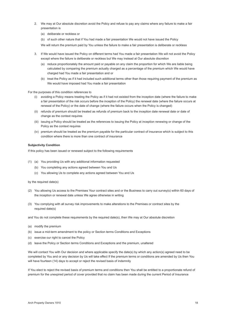- 2. We may at Our absolute discretion avoid the Policy and refuse to pay any claims where any failure to make a fair presentation is
	- (a) deliberate or reckless or
	- (b) of such other nature that if You had made a fair presentation We would not have issued the Policy
	- We will return the premium paid by You unless the failure to make a fair presentation is deliberate or reckless
- 3. If We would have issued the Policy on different terms had You made a fair presentation We will not avoid the Policy except where the failure is deliberate or reckless but We may instead at Our absolute discretion
	- (a) reduce proportionately the amount paid or payable on any claim the proportion for which We are liable being calculated by comparing the premium actually charged as a percentage of the premium which We would have charged had You made a fair presentation and or
	- (b) treat the Policy as if it had included such additional terms other than those requiring payment of the premium as We would have imposed had You made a fair presentation

For the purposes of this condition references to

- (i) avoiding a Policy means treating the Policy as if it had not existed from the inception date (where the failure to make a fair presentation of the risk occurs before the inception of the Policy) the renewal date (where the failure occurs at renewal of the Policy) or the date of change (where the failure occurs when the Policy is changed)
- (ii) refunds of premium should be treated as refunds of premium back to the inception date renewal date or date of change as the context requires
- (iii) issuing a Policy should be treated as the references to issuing the Policy at inception renewing or change of the Policy as the context requires
- (iv) premium should be treated as the premium payable for the particular contract of insurance which is subject to this condition where there is more than one contract of insurance

#### **Subjectivity Condition**

If this policy has been issued or renewed subject to the following requirements

- (1) (a) You providing Us with any additional information requested
	- (b) You completing any actions agreed between You and Us
	- (c) You allowing Us to complete any actions agreed between You and Us
- by the required date(s)
- (2) You allowing Us access to the Premises Your contract sites and or the Business to carry out survey(s) within 60 days of the inception or renewal date unless We agree otherwise in writing
- (3) You complying with all survey risk improvements to make alterations to the Premises or contract sites by the required date(s)

and You do not complete these requirements by the required date(s), then We may at Our absolute discretion

- (a) modify the premium
- (b) issue a mid-term amendment to the policy or Section terms Conditions and Exceptions
- (c) exercise our right to cancel the Policy
- (d) leave the Policy or Section terms Conditions and Exceptions and the premium, unaltered

We will contact You with Our decision and where applicable specify the date(s) by which any action(s) agreed need to be completed by You and or any decision by Us will take effect If the premium terms or conditions are amended by Us then You will have fourteen (14) days to accept or reject the revised basis of indemnity

If You elect to reject the revised basis of premium terms and conditions then You shall be entitled to a proportionate refund of premium for the unexpired period of cover provided that no claim has been made during the current Period of Insurance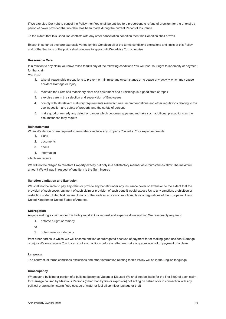If We exercise Our right to cancel the Policy then You shall be entitled to a proportionate refund of premium for the unexpired period of cover provided that no claim has been made during the current Period of Insurance

To the extent that this Condition conflicts with any other cancellation condition then this Condition shall prevail

Except in so far as they are expressly varied by this Condition all of the terms conditions exclusions and limits of this Policy and of the Sections of the policy shall continue to apply until We advise You otherwise

#### **Reasonable Care**

If in relation to any claim You have failed to fulfil any of the following conditions You will lose Your right to indemnity or payment for that claim

You must

- 1. take all reasonable precautions to prevent or minimise any circumstance or to cease any activity which may cause accident Damage or Injury
- 2. maintain the Premises machinery plant and equipment and furnishings in a good state of repair
- 3. exercise care in the selection and supervision of Employees
- 4. comply with all relevant statutory requirements manufacturers recommendations and other regulations relating to the use inspection and safety of property and the safety of persons
- 5. make good or remedy any defect or danger which becomes apparent and take such additional precautions as the circumstances may require

#### **Reinstatement**

When We decide or are required to reinstate or replace any Property You will at Your expense provide

- 1. plans
- 2. documents
- 3. books
- 4. information

which We require

We will not be obliged to reinstate Property exactly but only in a satisfactory manner as circumstances allow The maximum amount We will pay in respect of one item is the Sum Insured

#### **Sanction Limitation and Exclusion**

We shall not be liable to pay any claim or provide any benefit under any insurance cover or extension to the extent that the provision of such cover, payment of such claim or provision of such benefit would expose Us to any sanction, prohibition or restriction under United Nations resolutions or the trade or economic sanctions, laws or regulations of the European Union, United Kingdom or United States of America.

#### **Subrogation**

Anyone making a claim under this Policy must at Our request and expense do everything We reasonably require to

- 1. enforce a right or remedy
- or
- 2 obtain relief or indemnity

from other parties to which We will become entitled or subrogated because of payment for or making good accident Damage or Injury We may require You to carry out such actions before or after We make any admission of or payment of a claim

#### **Language**

The contractual terms conditions exclusions and other information relating to this Policy will be in the English language

#### **Unoccupancy**

Whenever a building or portion of a building becomes Vacant or Disused We shall not be liable for the first £500 of each claim for Damage caused by Malicious Persons (other than by fire or explosion) not acting on behalf of or in connection with any political organisation storm flood escape of water or fuel oil sprinkler leakage or theft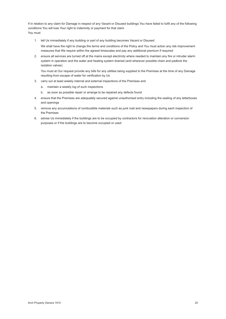If in relation to any claim for Damage in respect of any Vacant or Disused buildings You have failed to fulfil any of the following conditions You will lose Your right to indemnity or payment for that claim You must

- 1. tell Us immediately if any building or part of any building becomes Vacant or Disused We shall have the right to change the terms and conditions of the Policy and You must action any risk improvement measures that We require within the agreed timescales and pay any additional premium if required
- 2. ensure all services are turned off at the mains except electricity where needed to maintain any fire or intruder alarm system in operation and the water and heating system drained (and wherever possible chain and padlock the isolation valves)

 You must at Our request provide any bills for any utilities being supplied to the Premises at the time of any Damage resulting from escape of water for verification by Us

- 3. carry out at least weekly internal and external inspections of the Premises and
	- a. maintain a weekly log of such inspections
	- b. as soon as possible repair or arrange to be repaired any defects found
- 4. ensure that the Premises are adequately secured against unauthorised entry including the sealing of any letterboxes and openings
- 5. remove any accumulations of combustible materials such as junk mail and newspapers during each inspection of the Premises
- 6. advise Us immediately if the buildings are to be occupied by contractors for renovation alteration or conversion purposes or if the buildings are to become occupied or used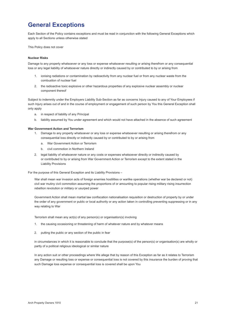### <span id="page-21-0"></span>**General Exceptions**

Each Section of the Policy contains exceptions and must be read in conjunction with the following General Exceptions which apply to all Sections unless otherwise stated

This Policy does not cover

#### **Nuclear Risks**

Damage to any property whatsoever or any loss or expense whatsoever resulting or arising therefrom or any consequential loss or any legal liability of whatsoever nature directly or indirectly caused by or contributed to by or arising from

- 1. ionising radiations or contamination by radioactivity from any nuclear fuel or from any nuclear waste from the combustion of nuclear fuel
- 2. the radioactive toxic explosive or other hazardous properties of any explosive nuclear assembly or nuclear component thereof

Subject to indemnity under the Employers Liability Sub-Section as far as concerns Injury caused to any of Your Employees if such Injury arises out of and in the course of employment or engagement of such person by You this General Exception shall only apply

- a. in respect of liability of any Principal
- b. liability assumed by You under agreement and which would not have attached in the absence of such agreement

#### **War Government Action and Terrorism**

- 1. Damage to any property whatsoever or any loss or expense whatsoever resulting or arising therefrom or any consequential loss directly or indirectly caused by or contributed to by or arising from
	- a. War Government Action or Terrorism
	- b. civil commotion in Northern Ireland
- 2. legal liability of whatsoever nature or any costs or expenses whatsoever directly or indirectly caused by or contributed to by or arising from War Government Action or Terrorism except to the extent stated in the Liability Provisions

For the purpose of this General Exception and its Liability Provisions –

 War shall mean war invasion acts of foreign enemies hostilities or warlike operations (whether war be declared or not) civil war mutiny civil commotion assuming the proportions of or amounting to popular rising military rising insurrection rebellion revolution or military or usurped power

Government Action shall mean martial law confiscation nationalisation requisition or destruction of property by or under the order of any government or public or local authority or any action taken in controlling preventing suppressing or in any way relating to War

Terrorism shall mean any act(s) of any person(s) or organisation(s) involving

- 1. the causing occasioning or threatening of harm of whatever nature and by whatever means
- 2. putting the public or any section of the public in fear

 in circumstances in which it is reasonable to conclude that the purpose(s) of the person(s) or organisation(s) are wholly or partly of a political religious ideological or similar nature

 In any action suit or other proceedings where We allege that by reason of this Exception as far as it relates to Terrorism any Damage or resulting loss or expense or consequential loss is not covered by this insurance the burden of proving that such Damage loss expense or consequential loss is covered shall be upon You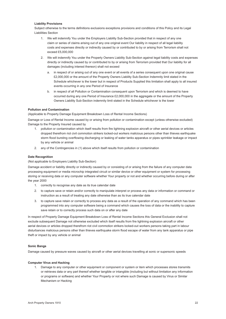#### **Liability Provisions**

Subject otherwise to the terms definitions exclusions exceptions provisions and conditions of this Policy and its Legal Liabilities Section

- 1. We will indemnify You under the Employers Liability Sub-Section provided that in respect of any one claim or series of claims arising out of any one original event Our liability in respect of all legal liability costs and expenses directly or indirectly caused by or contributed to by or arising from Terrorism shall not exceed £5,000,000
- 2. We will indemnify You under the Property Owners Liability Sub-Section against legal liability costs and expenses directly or indirectly caused by or contributed to by or arising from Terrorism provided that Our liability for all damages (including interest thereon) shall not exceed
	- a. in respect of or arising out of any one event or all events of a series consequent upon one original cause £2,000,000 or the amount of the Property Owners Liability Sub-Section Indemnity limit stated in the Schedule whichever is the lower but in respect of Products Supplied this limitation shall apply to all insured events occurring in any one Period of Insurance
	- b. in respect of all Pollution or Contamination consequent upon Terrorism and which is deemed to have occurred during any one Period of Insurance £2,000,000 in the aggregate or the amount of the Property Owners Liability Sub-Section indemnity limit stated in the Schedule whichever is the lower

#### **Pollution and Contamination**

(Applicable to Property Damage Equipment Breakdown Loss of Rental Income Sections)

Damage or Loss of Rental Income caused by or arising from pollution or contamination except (unless otherwise excluded) Damage to the Property Insured caused by

- 1. pollution or contamination which itself results from fire lightning explosion aircraft or other aerial devices or articles dropped therefrom riot civil commotion strikers locked-out workers malicious persons other than thieves earthquake storm flood bursting overflowing discharging or leaking of water tanks apparatus or pipes sprinkler leakage or impact by any vehicle or animal
- 2. any of the Contingencies in (1) above which itself results from pollution or contamination

#### **Date Recognition**

#### (Not applicable to Employers Liability Sub-Section)

Damage accident or liability directly or indirectly caused by or consisting of or arising from the failure of any computer data processing equipment or media microchip integrated circuit or similar device or other equipment or system for processing storing or receiving data or any computer software whether Your property or not and whether occurring before during or after the year 2000

- 1. correctly to recognise any date as its true calendar date
- 2. to capture save or retain and/or correctly to manipulate interpret or process any data or information or command or instruction as a result of treating any date otherwise than as its true calendar date
- 3. to capture save retain or correctly to process any data as a result of the operation of any command which has been programmed into any computer software being a command which causes the loss of data or the inability to capture save retain or to correctly process such data on or after any date

In respect of Property Damage Equipment Breakdown Loss of Rental Income Sections this General Exclusion shall not exclude subsequent Damage not otherwise excluded which itself results from fire lightning explosion aircraft or other aerial devices or articles dropped therefrom riot civil commotion strikers locked-out workers persons taking part in labour disturbances malicious persons other than thieves earthquake storm flood escape of water from any tank apparatus or pipe theft or impact by any vehicle or animal

#### **Sonic Bangs**

Damage caused by pressure waves caused by aircraft or other aerial devices travelling at sonic or supersonic speeds

#### **Computer Virus and Hacking**

1. Damage to any computer or other equipment or component or system or item which processes stores transmits or retrieves data or any part thereof whether tangible or intangible (including but without limitation any information or programs or software) and whether Your Property or not where such Damage is caused by Virus or Similar Mechanism or Hacking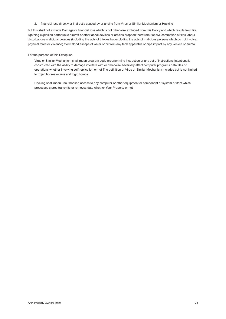2. financial loss directly or indirectly caused by or arising from Virus or Similar Mechanism or Hacking

but this shall not exclude Damage or financial loss which is not otherwise excluded from this Policy and which results from fire lightning explosion earthquake aircraft or other aerial devices or articles dropped therefrom riot civil commotion strikes labour disturbances malicious persons (including the acts of thieves but excluding the acts of malicious persons which do not involve physical force or violence) storm flood escape of water or oil from any tank apparatus or pipe impact by any vehicle or animal

#### For the purpose of this Exception

 Virus or Similar Mechanism shall mean program code programming instruction or any set of instructions intentionally constructed with the ability to damage interfere with or otherwise adversely affect computer programs data files or operations whether involving self-replication or not The definition of Virus or Similar Mechanism includes but is not limited to trojan horses worms and logic bombs

 Hacking shall mean unauthorised access to any computer or other equipment or component or system or item which processes stores transmits or retrieves data whether Your Property or not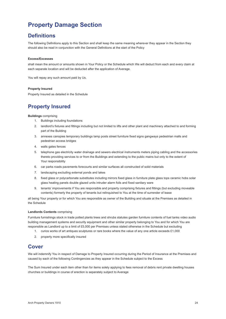### <span id="page-24-0"></span>**Property Damage Section**

### **Definitions**

The following Definitions apply to this Section and shall keep the same meaning wherever they appear in the Section they should also be read in conjunction with the General Definitions at the start of the Policy

#### **Excess/Excesses**

shall mean the amount or amounts shown in Your Policy or the Schedule which We will deduct from each and every claim at each separate location and will be deducted after the application of Average.

You will repay any such amount paid by Us.

#### **Property Insured**

Property Insured as detailed in the Schedule

### **Property Insured**

#### **Buildings** comprising

- 1. Buildings including foundations
- 2. landlord's fixtures and fittings including but not limited to lifts and other plant and machinery attached to and forming part of the Building
- 3. annexes canopies temporary buildings lamp posts street furniture fixed signs gangways pedestrian malls and pedestrian access bridges
- 4. walls gates fences
- 5. telephone gas electricity water drainage and sewers electrical instruments meters piping cabling and the accessories thereto providing services to or from the Buildings and extending to the public mains but only to the extent of Your responsibility
- 6. car parks roads pavements forecourts and similar surfaces all constructed of solid materials
- 7. landscaping excluding external ponds and lakes
- 8. fixed glass or polycarbonate substitutes including mirrors fixed glass in furniture plate glass tops ceramic hobs solar glass heating panels double glazed units intruder alarm foils and fixed sanitary ware
- 9. tenants' improvements if You are responsible and property comprising fixtures and fittings (but excluding moveable contents) formerly the property of tenants but relinquished to You at the time of surrender of lease

all being Your property or for which You are responsible as owner of the Building and situate at the Premises as detailed in the Schedule

#### **Landlords Contents** comprising

Furniture furnishings stock in trade potted plants trees and shrubs statutes garden furniture contents of fuel tanks video audio building management systems and security equipment and other similar property belonging to You and for which You are responsible as Landlord up to a limit of £5,000 per Premises unless stated otherwise in the Schedule but excluding

- 1. curios works of art antiques sculptures or rare books where the value of any one article exceeds £1,000
- 2. property more specifically insured

### **Cover**

We will indemnify You in respect of Damage to Property Insured occurring during the Period of Insurance at the Premises and caused by each of the following Contingencies as they appear in the Schedule subject to the Excess

The Sum Insured under each item other than for items solely applying to fees removal of debris rent private dwelling houses churches or buildings in course of erection is separately subject to Average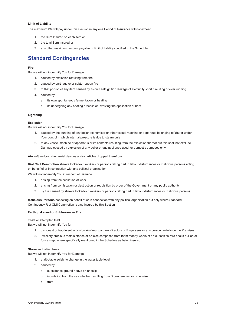#### **Limit of Liability**

The maximum We will pay under this Section in any one Period of Insurance will not exceed

- 1. the Sum Insured on each item or
- 2. the total Sum Insured or
- 3. any other maximum amount payable or limit of liability specified in the Schedule

### **Standard Contingencies**

#### **Fire**

But we will not indemnify You for Damage

- 1. caused by explosion resulting from fire
- 2. caused by earthquake or subterranean fire
- 3. to that portion of any item caused by its own self ignition leakage of electricity short circuiting or over running
- 4. caused by
	- a. its own spontaneous fermentation or heating
	- b. its undergoing any heating process or involving the application of heat

#### **Lightning**

#### **Explosion**

But we will not indemnify You for Damage

- 1. caused by the bursting of any boiler economiser or other vessel machine or apparatus belonging to You or under Your control in which internal pressure is due to steam only
- 2. to any vessel machine or apparatus or its contents resulting from the explosion thereof but this shall not exclude Damage caused by explosion of any boiler or gas appliance used for domestic purposes only

**Aircraft** and /or other aerial devices and/or articles dropped therefrom

**Riot Civil Commotion** strikers locked-out workers or persons taking part in labour disturbances or malicious persons acting on behalf of or in connection with any political organisation

We will not indemnify You in respect of Damage

- 1. arising from the cessation of work
- 2. arising from confiscation or destruction or requisition by order of the Government or any public authority
- 3. by fire caused by strikers locked-out workers or persons taking part in labour disturbances or malicious persons

**Malicious Persons** not acting on behalf of or in connection with any political organisation but only where Standard Contingency Riot Civil Commotion is also insured by this Section

#### **Earthquake and or Subterranean Fire**

#### **Theft** or attempted theft

But we will not indemnify You for

- 1. dishonest or fraudulent action by You Your partners directors or Employees or any person lawfully on the Premises
- 2. jewellery precious metals stones or articles composed from them money works of art curiosities rare books bullion or furs except where specifically mentioned in the Schedule as being insured

#### **Storm** and falling trees

But we will not indemnify You for Damage

- 1. attributable solely to change in the water table level
- 2. caused by
	- a. subsidence ground heave or landslip
	- b. inundation from the sea whether resulting from Storm tempest or otherwise
	- c. frost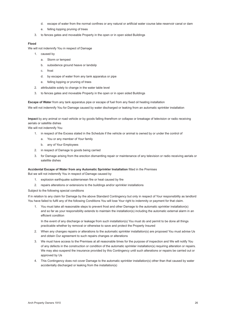- d. escape of water from the normal confines or any natural or artificial water course lake reservoir canal or dam
- e. felling lopping pruning of trees
- 3. to fences gates and moveable Property in the open or in open sided Buildings

#### **Flood**

We will not indemnify You in respect of Damage

- 1. caused by
	- a. Storm or tempest
	- b. subsidence ground heave or landslip
	- c. frost
	- d. by escape of water from any tank apparatus or pipe
	- e. felling lopping or pruning of trees
- 2. attributable solely to change in the water table level
- 3. to fences gates and moveable Property in the open or in open sided Buildings

**Escape of Water** from any tank apparatus pipe or escape of fuel from any fixed oil heating installation

We will not indemnify You for Damage caused by water discharged or leaking from an automatic sprinkler installation

**Impact** by any animal or road vehicle or by goods falling therefrom or collapse or breakage of television or radio receiving aerials or satellite dishes

We will not indemnify You

- 1. in respect of the Excess stated in the Schedule if the vehicle or animal is owned by or under the control of
	- a. You or any member of Your family
	- b. any of Your Employees
- 2. in respect of Damage to goods being carried
- 3. for Damage arising from the erection dismantling repair or maintenance of any television or radio receiving aerials or satellite dishes

#### **Accidental Escape of Water from any Automatic Sprinkler Installation** fitted in the Premises

But we will not indemnify You in respect of Damage caused by

- 1. explosion earthquake subterranean fire or heat caused by fire
- 2. repairs alterations or extensions to the buildings and/or sprinkler installations

Subject to the following special conditions

If in relation to any claim for Damage by the above Standard Contingency but only in respect of Your responsibility as landlord You have failed to fulfil any of the following Conditions You will lose Your right to indemnity or payment for that claim.

1. You must take all reasonable steps to prevent frost and other Damage to the automatic sprinkler installation(s) and so far as your responsibility extends to maintain the installation(s) including the automatic external alarm in an efficient condition

 In the event of any discharge or leakage from such installation(s) You must do and permit to be done all things practicable whether by removal or otherwise to save and protect the Property Insured

- 2. When any changes repairs or alterations to the automatic sprinkler installation(s) are proposed You must advise Us and obtain Our agreement to such repairs changes or alterations
- 3. We must have access to the Premises at all reasonable times for the purpose of inspection and We will notify You of any defects in the construction or condition of the automatic sprinkler installation(s) requiring alteration or repairs. We may also suspend the insurance provided by this Contingency until such alterations or repairs be carried out or approved by Us
- 4. This Contingency does not cover Damage to the automatic sprinkler installation(s) other than that caused by water accidentally discharged or leaking from the installation(s)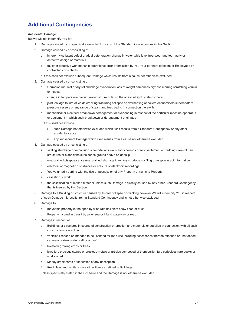### **Additional Contingencies**

#### **Accidental Damage**

But we will not indemnify You for

- 1. Damage caused by or specifically excluded from any of the Standard Contingencies in this Section
- 2. Damage caused by or consisting of
	- a. inherent vice latent defect gradual deterioration change in water table level frost wear and tear faulty or defective design or materials
	- b. faulty or defective workmanship operational error or omission by You Your partners directors or Employees or contracted consultants

but this shall not exclude subsequent Damage which results from a cause not otherwise excluded

- 3. Damage caused by or consisting of
	- a. Corrosion rust wet or dry rot shrinkage evaporation loss of weight dampness dryness marring scratching vermin or insects
	- b. change in temperature colour flavour texture or finish the action of light or atmosphere
	- c. joint leakage failure of welds cracking fracturing collapse or overheating of boilers economisers superheaters pressure vessels or any range of steam and feed piping in connection therewith
	- d. mechanical or electrical breakdown derangement or overloading in respect of the particular machine apparatus or equipment in which such breakdown or derangement originates

but this shall not exclude

- i such Damage not otherwise excluded which itself results from a Standard Contingency or any other accidental cause
- ii any subsequent Damage which itself results from a cause not otherwise excluded
- 4. Damage caused by or consisting of
	- a. settling shrinkage or expansion of foundations walls floors ceilings or roof settlement or bedding down of new structures or extensions subsidence ground heave or landslip
	- b. unexplained disappearance unexplained shortage inventory shortage misfiling or misplacing of information
	- c. electrical or magnetic disturbance or erasure of electronic recordings
	- d. You voluntarily parting with the title or possession of any Property or rights to Property
	- e. cessation of work
	- f. the solidification of molten material unless such Damage is directly caused by any other Standard Contingency that is insured by this Section
- 5. Damage to a Building or structure caused by its own collapse or cracking however We will indemnify You in respect of such Damage if it results from a Standard Contingency and is not otherwise excluded
- 6. Damage to
	- a. moveable property in the open by wind rain hail sleet snow flood or dust
	- b. Property Insured in transit by air or sea or inland waterway or road
- 7. Damage in respect of
	- a. Buildings or structures in course of construction or erection and materials or supplies in connection with all such construction or erection
	- b. vehicles licensed or intended to be licensed for road use including accessories thereon attached or unattached caravans trailers watercraft or aircraft
	- c. livestock growing crops or trees
	- d. jewellery precious stones or precious metals or articles composed of them bullion furs curiosities rare books or works of art
	- e. Money credit cards or securities of any description
	- f. fixed glass and sanitary ware other than as defined in Buildings

 unless specifically stated in the Schedule and the Damage is not otherwise excluded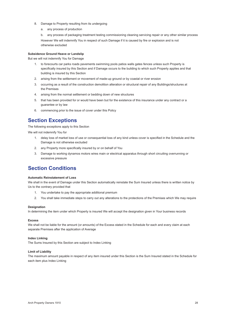- 8. Damage to Property resulting from its undergoing
	- a. any process of production
	- b. any process of packaging treatment testing commissioning cleaning servicing repair or any other similar process

 However We will indemnify You in respect of such Damage if it is caused by fire or explosion and is not otherwise excluded

#### **Subsidence Ground Heave or Landslip**

But we will not indemnify You for Damage

- 1. to forecourts car parks roads pavements swimming pools patios walls gates fences unless such Property is specifically insured by this Section and if Damage occurs to the building to which such Property applies and that building is insured by this Section
- 2. arising from the settlement or movement of made-up ground or by coastal or river erosion
- 3. occurring as a result of the construction demolition alteration or structural repair of any Buildings/structures at the Premises
- 4. arising from the normal settlement or bedding down of new structures
- 5. that has been provided for or would have been but for the existence of this insurance under any contract or a guarantee or by law
- 6. commencing prior to the issue of cover under this Policy

### **Section Exceptions**

The following exceptions apply to this Section

We will not indemnify You for

- 1. delay loss of market loss of use or consequential loss of any kind unless cover is specified in the Schedule and the Damage is not otherwise excluded
- 2. any Property more specifically insured by or on behalf of You
- 3. Damage to working dynamos motors wires main or electrical apparatus through short circuiting overrunning or excessive pressure

### **Section Conditions**

#### **Automatic Reinstatement of Loss**

We shall in the event of Damage under this Section automatically reinstate the Sum Insured unless there is written notice by Us to the contrary provided that

- 1. You undertake to pay the appropriate additional premium
- 2. You shall take immediate steps to carry out any alterations to the protections of the Premises which We may require

#### **Designation**

In determining the item under which Property is insured We will accept the designation given in Your business records

#### **Excess**

We shall not be liable for the amount (or amounts) of the Excess stated in the Schedule for each and every claim at each separate Premises after the application of Average

#### **Index Linking**

The Sums Insured by this Section are subject to Index Linking

#### **Limit of Liability**

The maximum amount payable in respect of any item insured under this Section is the Sum Insured stated in the Schedule for each item plus Index Linking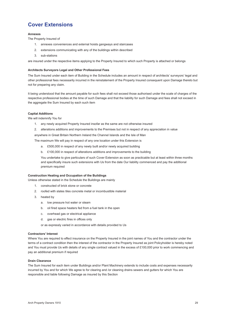### **Cover Extensions**

#### **Annexes**

The Property Insured of

- 1. annexes conveniences and external hoists gangways and staircases
- 2. extensions communicating with any of the buildings within described
- 3. sub-stations

are insured under the respective items applying to the Property Insured to which such Property is attached or belongs

#### **Architects Surveyors Legal and Other Professional Fees**

The Sum Insured under each item of Building in the Schedule includes an amount in respect of architects' surveyors' legal and other professional fees necessarily incurred in the reinstatement of the Property Insured consequent upon Damage thereto but not for preparing any claim.

It being understood that the amount payable for such fees shall not exceed those authorised under the scale of charges of the respective professional bodies at the time of such Damage and that the liability for such Damage and fees shall not exceed in the aggregate the Sum Insured by each such item

#### **Capital Additions**

We will indemnify You for

- 1. any newly acquired Property Insured insofar as the same are not otherwise insured
- 2. alterations additions and improvements to the Premises but not in respect of any appreciation in value

 anywhere in Great Britain Northern Ireland the Channel Islands and the Isle of Man

The maximum We will pay in respect of any one location under this Extension is

- a. £500,000 in respect of any newly built and/or newly acquired building
- b. £100,000 in respect of alterations additions and improvements to the building

 You undertake to give particulars of such Cover Extension as soon as practicable but at least within three months and specifically insure such extensions with Us from the date Our liability commenced and pay the additional premium required

#### **Construction Heating and Occupation of the Buildings**

Unless otherwise stated in the Schedule the Buildings are mainly

- 1. constructed of brick stone or concrete
- 2. roofed with slates tiles concrete metal or incombustible material
- 3. heated by
	- a. low pressure hot water or steam
	- b. oil fired space heaters fed from a fuel tank in the open
	- c. overhead gas or electrical appliance
	- d. gas or electric fires in offices only

or as expressly varied in accordance with details provided to Us

#### **Contractors' Interest**

Where You are required to effect insurance on the Property Insured in the joint names of You and the contractor under the terms of a contract condition then the interest of the contractor in the Property Insured as joint Policyholder is hereby noted and You must provide Us with details of any single contract valued in the excess of £100,000 prior to work commencing and pay an additional premium if required

#### **Drain Clearance**

The Sum Insured for each item under Buildings and/or Plant Machinery extends to include costs and expenses necessarily incurred by You and for which We agree to for clearing and /or cleaning drains sewers and gutters for which You are responsible and liable following Damage as insured by this Section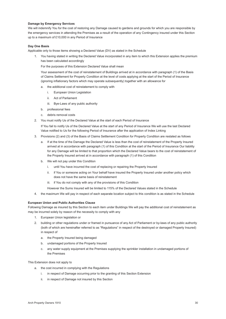#### **Damage by Emergency Services**

We will indemnify You for the cost of restoring any Damage caused to gardens and grounds for which you are responsible by the emergency services in attending the Premises as a result of the operation of any Contingency insured under this Section up to a maximum of £10,000 in any Period of Insurance

#### **Day One Basis**

Applicable only to those items showing a Declared Value (DV) as stated in the Schedule

You having stated in writing the Declared Value incorporated in any item to which this Extension applies the premium has been calculated accordingly

For the purposes of this Extension Declared Value shall mean

 Your assessment of the cost of reinstatement of Buildings arrived at in accordance with paragraph (1) of the Basis of Claims Settlement for Property Condition at the level of costs applying at the start of the Period of Insurance (ignoring inflationary factors which may operate subsequently) together with an allowance for

- a. the additional cost of reinstatement to comply with
	- i. European Union Legislation
	- ii. Act of Parliament
	- iii. Bye-Laws of any public authority
- b. professional fees
- c. debris removal costs
- 2. You must notify Us of the Declared Value at the start of each Period of Insurance

 If You fail to notify Us of the Declared Value at the start of any Period of Insurance We will use the last Declared Value notified to Us for the following Period of Insurance after the application of Index Linking

- 3. Provisions (2) and (3) of the Basis of Claims Settlement Condition for Property Condition are restated as follows
	- a. If at the time of the Damage the Declared Value is less than the cost of reinstatement of the Property Insured arrived at in accordance with paragraph (1) of this Condition at the start of the Period of Insurance Our liability for any Damage will be limited to that proportion which the Declared Value bears to the cost of reinstatement of the Property Insured arrived at in accordance with paragraph (1) of this Condition
	- b. We will not pay under this Condition
		- i. until You have incurred the cost of replacing or repairing the Property Insured
		- ii. if You or someone acting on Your behalf have insured the Property Insured under another policy which does not have the same basis of reinstatement
		- iii. if You do not comply with any of the provisions of this Condition

 However the Sums Insured will be limited to 115% of the Declared Values stated in the Schedule

4. the maximum We will pay in respect of each separate location subject to this condition is as stated in the Schedule

#### **European Union and Public Authorities Clause**

Following Damage as insured by this Section to each item under Buildings We will pay the additional cost of reinstatement as may be incurred solely by reason of the necessity to comply with any

- 1. European Union legislation or
- 2. building or other regulations under or framed in pursuance of any Act of Parliament or by-laws of any public authority (both of which are hereinafter referred to as "Regulations" in respect of the destroyed or damaged Property Insured) in respect of
	- a. the Property Insured being damaged
	- b. undamaged portions of the Property Insured
	- c. any water supply equipment at the Premises supplying the sprinkler installation in undamaged portions of the Premises

#### This Extension does not apply to

- a. the cost incurred in complying with the Regulations
	- i. in respect of Damage occurring prior to the granting of this Section Extension
	- ii. in respect of Damage not insured by this Section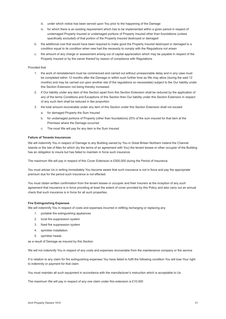- iii. under which notice has been served upon You prior to the happening of the Damage
- iv. for which there is an existing requirement which has to be implemented within a given period in respect of undamaged Property Insured or undamaged portions of Property Insured other than foundations (unless specifically excluded) of that portion of the Property Insured destroyed or damaged
- b. the additional cost that would have been required to make good the Property Insured destroyed or damaged to a condition equal to its condition when new had the necessity to comply with the Regulations not arisen
- c. the amount of any charge or assessment arising out of capital appreciation which may be payable in respect of the Property Insured or by the owner thereof by reason of compliance with Regulations

#### Provided that

- 1. the work of reinstatement must be commenced and carried out without unreasonable delay and in any case must be completed within 12 months after the Damage or within such further time as We may allow (during the said 12 months) and may be carried out upon another site (if the regulations so necessitate) subject to the Our liability under this Section Extension not being thereby increased.
- 2. if Our liability under any item of this Section apart from this Section Extension shall be reduced by the application of any of the terms Conditions and Exceptions of this Section then Our liability under this Section Extension in respect of any such item shall be reduced in like proportion
- 3. the total amount recoverable under any item of this Section under this Section Extension shall not exceed
	- a. for damaged Property the Sum Insured
	- b. for undamaged portions of Property (other than foundations) 20% of the sum insured for that item at the Premises where the Damage occurred
	- c. The most We will pay for any item is the Sum Insured

#### **Failure of Tenants Insurances**

We will indemnify You in respect of Damage to any Building owned by You in Great Britain Northern Ireland the Channel Islands or the Isle of Man for which (by the terms of an agreement with You) the tenant lessee or other occupier of the Building has an obligation to insure but has failed to maintain in force such insurance

The maximum We will pay in respect of this Cover Extension is £500,000 during the Period of Insurance.

You must advise Us in writing immediately You become aware that such insurance is not in force and pay the appropriate premium due for the period such insurance is not effected.

You must obtain written confirmation from the tenant lessee or occupier and their Insurers at the inception of any such agreement that insurance is in force providing at least the extent of cover provided by this Policy and also carry out an annual check that such insurance is in force for all such properties.

#### **Fire Extinguishing Expenses**

We will indemnify You in respect of costs and expenses incurred in refilling recharging or replacing any

- 1. portable fire extinguishing appliances
- 2. local fire suppression system
- 3. fixed fire suppression system
- 4. sprinkler installation
- 5. sprinkler heads

as a result of Damage as insured by this Section

We will not indemnify You in respect of any costs and expenses recoverable from the maintenance company or fire service

If in relation to any claim for fire extinguishing expenses You have failed to fulfil the following condition You will lose Your right to indemnity or payment for that claim

You must maintain all such equipment in accordance with the manufacturer's instruction which is acceptable to Us

The maximum We will pay in respect of any one claim under this extension is £10,000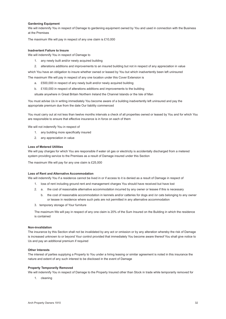#### **Gardening Equipment**

We will indemnify You in respect of Damage to gardening equipment owned by You and used in connection with the Business at the Premises

The maximum We will pay in respect of any one claim is £10,000

#### **Inadvertent Failure to Insure**

We will indemnify You in respect of Damage to

- 1. any newly built and/or newly acquired building
- 2. alterations additions and improvements to an insured building but not in respect of any appreciation in value

which You have an obligation to insure whether owned or leased by You but which inadvertently been left uninsured

The maximum We will pay in respect of any one location under this Cover Extension is

- a. £500,000 in respect of any newly built and/or newly acquired building
- b. £100,000 in respect of alterations additions and improvements to the building

 situate anywhere in Great Britain Northern Ireland the Channel Islands or the Isle of Man

You must advise Us in writing immediately You become aware of a building inadvertently left uninsured and pay the appropriate premium due from the date Our liability commenced

You must carry out at not less than twelve months intervals a check of all properties owned or leased by You and for which You are responsible to ensure that effective insurance is in force on each of them

We will not indemnify You in respect of

- 1. any building more specifically insured
- 2. any appreciation in value

#### **Loss of Metered Utilities**

We will pay charges for which You are responsible if water oil gas or electricity is accidentally discharged from a metered system providing service to the Premises as a result of Damage insured under this Section

The maximum We will pay for any one claim is £25,000

#### **Loss of Rent and Alternative Accommodation**

We will indemnify You if a residence cannot be lived in or if access to it is denied as a result of Damage in respect of

- 1. loss of rent including ground rent and management charges You should have received but have lost
- 2. a. the cost of reasonable alternative accommodation incurred by any owner or lessee if this is necessary
	- b. the cost of reasonable accommodation in kennels and/or catteries for dogs and /or cats belonging to any owner or lessee in residence where such pets are not permitted in any alternative accommodation
- 3. temporary storage of Your furniture

The maximum We will pay in respect of any one claim is 20% of the Sum Insured on the Building in which the residence is contained

#### **Non-invalidation**

The insurance by this Section shall not be invalidated by any act or omission or by any alteration whereby the risk of Damage is increased unknown to or beyond Your control provided that immediately You become aware thereof You shall give notice to Us and pay an additional premium if required

#### **Other Interests**

The interest of parties supplying a Property to You under a hiring leasing or similar agreement is noted in this insurance the nature and extent of any such interest to be disclosed in the event of Damage

#### **Property Temporarily Removed**

We will indemnify You in respect of Damage to the Property Insured other than Stock in trade while temporarily removed for

1. cleaning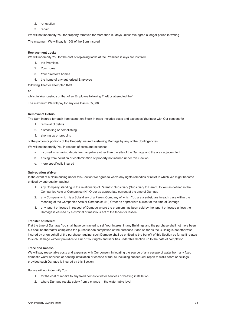- 2. renovation
- 3. repair

We will not indemnify You for property removed for more than 90 days unless We agree a longer period in writing

The maximum We will pay is 10% of the Sum Insured

#### **Replacement Locks**

We will indemnify You for the cost of replacing locks at the Premises if keys are lost from

- 1. the Premises
- 2. Your home
- 3. Your director's homes
- 4. the home of any authorised Employee

following Theft or attempted theft

or

whilst in Your custody or that of an Employee following Theft or attempted theft

The maximum We will pay for any one loss is £5,000

#### **Removal of Debris**

The Sum Insured for each item except on Stock in trade includes costs and expenses You incur with Our consent for

- 1. removal of debris
- 2. dismantling or demolishing
- 3. shoring up or propping

of the portion or portions of the Property Insured sustaining Damage by any of the Contingencies

We will not indemnify You in respect of costs and expenses

- a. incurred in removing debris from anywhere other than the site of the Damage and the area adjacent to it
- b. arising from pollution or contamination of property not insured under this Section
- c. more specifically insured

#### **Subrogation Waiver**

In the event of a claim arising under this Section We agree to waive any rights remedies or relief to which We might become entitled by subrogation against

- 1. any Company standing in the relationship of Parent to Subsidiary (Subsidiary to Parent) to You as defined in the Companies Acts or Companies (NI) Order as appropriate current at the time of Damage
- 2. any Company which is a Subsidiary of a Parent Company of which You are a subsidiary in each case within the meaning of the Companies Acts or Companies (NI) Order as appropriate current at the time of Damage
- 3. any tenant or lessee in respect of Damage where the premium has been paid by the tenant or lessee unless the Damage is caused by a criminal or malicious act of the tenant or lessee

#### **Transfer of Interest**

If at the time of Damage You shall have contracted to sell Your interest in any Buildings and the purchase shall not have been but shall be thereafter completed the purchaser on completion of the purchase if and so far as the Building is not otherwise insured by or on behalf of the purchaser against such Damage shall be entitled to the benefit of this Section so far as it relates to such Damage without prejudice to Our or Your rights and liabilities under this Section up to the date of completion

#### **Trace and Access**

We will pay reasonable costs and expenses with Our consent in locating the source of any escape of water from any fixed domestic water services or heating installation or escape of fuel oil including subsequent repair to walls floors or ceilings provided such Damage is insured by this Section

But we will not indemnify You

- 1. for the cost of repairs to any fixed domestic water services or heating installation
- 2. where Damage results solely from a change in the water table level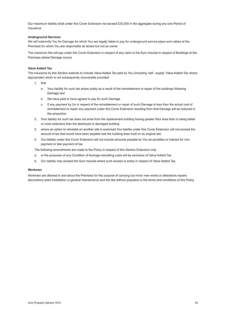Our maximum liability shall under this Cover Extension not exceed £25,000 in the aggregate during any one Period of Insurance

#### **Underground Services**

We will indemnify You for Damage for which You are legally liable to pay for underground service pipes and cables at the Premises for which You are responsible as tenant but not as owner

The maximum We will pay under this Cover Extension in respect of any claim is the Sum Insured in respect of Buildings at the Premises where Damage occurs

#### **Value Added Tax**

The insurance by this Section extends to include Value Added Tax paid by You (including 'self –supply' Value Added Tax where appropriate) which is not subsequently recoverable provided

- 1. that
	- a. Your liability for such tax arises solely as a result of the reinstatement or repair of the buildings following Damage and
	- b. We have paid or have agreed to pay for such Damage
	- c. If any payment by Us in respect of the reinstatement or repair of such Damage is less than the actual cost of reinstatement or repair any payment under this Cover Extension resulting from that Damage will be reduced in like proportion
- 2. Your liability for such tax does not arise from the replacement building having greater floor area than or being better or more extensive than the destroyed or damaged building
- 3. where an option to reinstate on another site is exercised Our liability under this Cover Extension will not exceed the amount of tax that would have been payable had the building been built on its original site
- 4. Our liability under this Cover Extension will not include amounts payable by You as penalties or interest for nonpayment or late payment of tax

The following amendments are made to the Policy in respect of this Section Extension only

- a. or the purposes of any Condition of Average rebuilding costs will be exclusive of Value Added Tax
- b. Our liability may exceed the Sum Insured where such excess is solely in respect of Value Added Tax.

#### **Workmen**

Workmen are allowed in and about the Premises for the purpose of carrying out minor new works or alterations repairs decorations plant installation or general maintenance and the like without prejudice to the terms and conditions of this Policy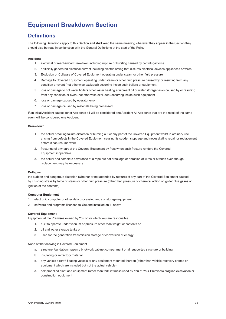# <span id="page-35-0"></span>**Equipment Breakdown Section**

### **Definitions**

The following Definitions apply to this Section and shall keep the same meaning wherever they appear in the Section they should also be read in conjunction with the General Definitions at the start of the Policy

#### **Accident**

- 1. electrical or mechanical Breakdown including rupture or bursting caused by centrifugal force
- 2. artificially generated electrical current including electric arcing that disturbs electrical devices appliances or wires
- 3. Explosion or Collapse of Covered Equipment operating under steam or other fluid pressure
- 4. Damage to Covered Equipment operating under steam or other fluid pressure caused by or resulting from any condition or event (not otherwise excluded) occurring inside such boilers or equipment
- 5. loss or damage to hot water boilers other water heating equipment oil or water storage tanks caused by or resulting from any condition or even (not otherwise excluded) occurring inside such equipment
- 6. loss or damage caused by operator error
- 7. loss or damage caused by materials being processed

If an initial Accident causes other Accidents all will be considered one Accident All Accidents that are the result of the same event will be considered one Accident

#### **Breakdown**

- 1. the actual breaking failure distortion or burning out of any part of the Covered Equipment whilst in ordinary use arising from defects in the Covered Equipment causing its sudden stoppage and necessitating repair or replacement before it can resume work
- 2. fracturing of any part of the Covered Equipment by frost when such fracture renders the Covered Equipment inoperative
- 3. the actual and complete severance of a rope but not breakage or abrasion of wires or strands even though replacement may be necessary

#### **Collapse**

the sudden and dangerous distortion (whether or not attended by rupture) of any part of the Covered Equipment caused by crushing stress by force of steam or other fluid pressure (other than pressure of chemical action or ignited flue gases or ignition of the contents)

#### **Computer Equipment**

- 1. electronic computer or other data processing and / or storage equipment
- 2. software and programs licensed to You and installed on 1. above

#### **Covered Equipment**

Equipment at the Premises owned by You or for which You are responsible

- 1. built to operate under vacuum or pressure other than weight of contents or
- 2. oil and water storage tanks or
- 3. used for the generation transmission storage or conversion of energy

None of the following is Covered Equipment

- a. structure foundation masonry brickwork cabinet compartment or air supported structure or building
- b. insulating or refractory material
- c. any vehicle aircraft floating vessels or any equipment mounted thereon (other than vehicle recovery cranes or equipment which are included but not the actual vehicle)
- d. self propelled plant and equipment (other than fork lift trucks used by You at Your Premises) dragline excavation or construction equipment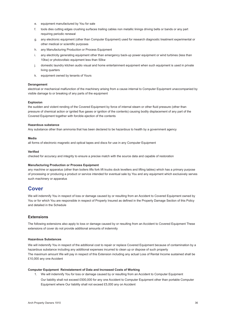- e. equipment manufactured by You for sale
- f. tools dies cutting edges crushing surfaces trailing cables non metallic linings driving belts or bands or any part requiring periodic renewal
- g. any electronic equipment (other than Computer Equipment) used for research diagnostic treatment experimental or other medical or scientific purposes
- h. any Manufacturing Production or Process Equipment
- i. any electricity generating equipment other than emergency back-up power equipment or wind turbines (less than 10kw) or photovoltaic equipment less than 50kw
- j. domestic laundry kitchen audio visual and home entertainment equipment when such equipment is used in private living quarters
- k. equipment owned by tenants of Yours

#### **Derangement**

electrical or mechanical malfunction of the machinery arising from a cause internal to Computer Equipment unaccompanied by visible damage to or breaking of any parts of the equipment

#### **Explosion**

the sudden and violent rending of the Covered Equipment by force of internal steam or other fluid pressure (other than pressure of chemical action or ignited flue gases or ignition of the contents) causing bodily displacement of any part of the Covered Equipment together with forcible ejection of the contents

#### **Hazardous substance**

Any substance other than ammonia that has been declared to be hazardous to health by a government agency

#### **Media**

all forms of electronic magnetic and optical tapes and discs for use in any Computer Equipment

#### **Verified**

checked for accuracy and integrity to ensure a precise match with the source data and capable of restoration

#### **Manufacturing Production or Process Equipment**

any machine or apparatus (other than boilers lifts fork lift trucks dock levellers and lifting tables) which has a primary purpose of processing or producing a product or service intended for eventual sale by You and any equipment which exclusively serves such machinery or apparatus

### **Cover**

We will indemnify You in respect of loss or damage caused by or resulting from an Accident to Covered Equipment owned by You or for which You are responsible in respect of Property Insured as defined in the Property Damage Section of this Policy and detailed in the Schedule

#### **Extensions**

The following extensions also apply to loss or damage caused by or resulting from an Accident to Covered Equipment These extensions of cover do not provide additional amounts of indemnity

#### **Hazardous Substances**

We will indemnify You in respect of the additional cost to repair or replace Covered Equipment because of contamination by a hazardous substance including any additional expenses incurred to clean up or dispose of such property The maximum amount We will pay in respect of this Extension including any actual Loss of Rental Income sustained shall be £10,000 any one Accident

#### **Computer Equipment Reinstatement of Data and Increased Costs of Working**

1. We will indemnify You for loss or damage caused by or resulting from an Accident to Computer Equipment Our liability shall not exceed £500,000 for any one Accident to Computer Equipment other than portable Computer Equipment where Our liability shall not exceed £5,000 any on Accident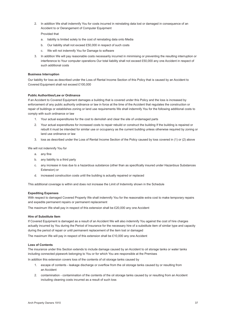2. In addition We shall indemnify You for costs incurred in reinstating data lost or damaged in consequence of an Accident to or Derangement of Computer Equipment

Provided that

- a. liability is limited solely to the cost of reinstating data onto Media
- b. Our liability shall not exceed £50,000 in respect of such costs
- c. We will not indemnify You for Damage to software
- 3. In addition We will pay reasonable costs necessarily incurred in minimising or preventing the resulting interruption or interference to Your computer operations Our total liability shall not exceed £50,000 any one Accident in respect of such additional costs

#### **Business Interruption**

Our liability for loss as described under the Loss of Rental Income Section of this Policy that is caused by an Accident to Covered Equipment shall not exceed £100,000

#### **Public Authorities/Law or Ordinance**

If an Accident to Covered Equipment damages a building that is covered under this Policy and the loss is increased by enforcement of any public authority ordinance or law in force at the time of the Accident that regulates the construction or repair of buildings or establishes zoning or land use requirements We shall indemnify You for the following additional costs to comply with such ordinance or law

- 1. Your actual expenditures for the cost to demolish and clear the site of undamaged parts
- 2. Your actual expenditures for increased costs to repair rebuild or construct the building If the building is repaired or rebuilt it must be intended for similar use or occupancy as the current building unless otherwise required by zoning or land use ordinance or law
- 3. loss as described under the Loss of Rental Income Section of the Policy caused by loss covered in (1) or (2) above

We will not indemnify You for

- a. any fine
- b. any liability to a third party
- c. any increase in loss due to a hazardous substance (other than as specifically insured under Hazardous Substances Extension) or
- d. increased construction costs until the building is actually repaired or replaced

This additional coverage is within and does not increase the Limit of Indemnity shown in the Schedule

#### **Expediting Expenses**

With respect to damaged Covered Property We shall indemnify You for the reasonable extra cost to make temporary repairs and expedite permanent repairs or permanent replacement

The maximum We shall pay in respect of this extension shall be £20,000 any one Accident

#### **Hire of Substitute Item**

If Covered Equipment is damaged as a result of an Accident We will also indemnify You against the cost of hire charges actually incurred by You during the Period of Insurance for the necessary hire of a substitute item of similar type and capacity during the period of repair or until permanent replacement of the item lost or damaged

The maximum We will pay in respect of this extension shall be £10,000 any one Accident

#### **Loss of Contents**

The insurance under this Section extends to include damage caused by an Accident to oil storage tanks or water tanks including connected pipework belonging to You or for which You are responsible at the Premises

In addition this extension covers loss of the contents of oil storage tanks caused by

- 1. escape of contents leakage discharge or overflow from the oil storage tanks caused by or resulting from an Accident
- 2. contamination contamination of the contents of the oil storage tanks caused by or resulting from an Accident including cleaning costs incurred as a result of such loss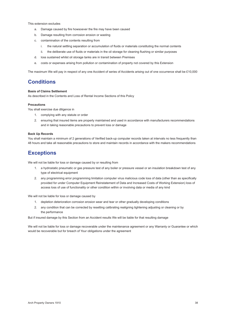This extension excludes

- a. Damage caused by fire howsoever the fire may have been caused
- b. Damage resulting from corrosion erosion or wasting
- c. contamination of the contents resulting from
	- i. the natural settling separation or accumulation of fluids or materials constituting the normal contents
	- ii. the deliberate use of fluids or materials in the oil storage for cleaning flushing or similar purposes
- d. loss sustained whilst oil storage tanks are in transit between Premises
- e. costs or expenses arising from pollution or contamination of property not covered by this Extension

The maximum We will pay in respect of any one Accident of series of Accidents arising out of one occurrence shall be £10,000

### **Conditions**

#### **Basis of Claims Settlement**

As described in the Contents and Loss of Rental Income Sections of this Policy

#### **Precautions**

You shall exercise due diligence in

- 1. complying with any statute or order
- 2. ensuring that insured items are properly maintained and used in accordance with manufacturers recommendations and in taking reasonable precautions to prevent loss or damage

#### **Back Up Records**

You shall maintain a minimum of 2 generations of Verified back-up computer records taken at intervals no less frequently than 48 hours and take all reasonable precautions to store and maintain records in accordance with the makers recommendations

### **Exceptions**

We will not be liable for loss or damage caused by or resulting from

- 1. a hydrostatic pneumatic or gas pressure test of any boiler or pressure vessel or an insulation breakdown test of any type of electrical equipment
- 2. any programming error programming limitation computer virus malicious code loss of data (other than as specifically provided for under Computer Equipment Reinstatement of Data and Increased Costs of Working Extension) loss of access loss of use of functionality or other condition within or involving data or media of any kind

We will not be liable for loss or damage caused by

- 1. depletion deterioration corrosion erosion wear and tear or other gradually developing conditions
- 2. any condition that can be corrected by resetting calibrating realigning tightening adjusting or cleaning or by the performance

But if insured damage by this Section from an Accident results We will be liable for that resulting damage

We will not be liable for loss or damage recoverable under the maintenance agreement or any Warranty or Guarantee or which would be recoverable but for breach of Your obligations under the agreement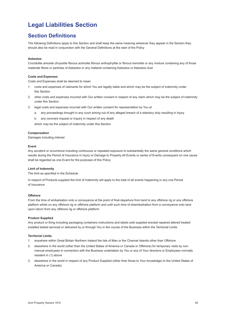# <span id="page-39-0"></span>**Legal Liabilities Section**

### **Section Definitions**

The following Definitions apply to this Section and shall keep the same meaning wherever they appear in the Section they should also be read in conjunction with the General Definitions at the start of the Policy

#### **Asbestos**

Crocidolite amosite chrysotile fibrous actinolite fibrous anthophyllite or fibrous tremolite or any mixture containing any of those materials fibres or particles of Asbestos or any material containing Asbestos or Asbestos dust

#### **Costs and Expenses**

Costs and Expenses shall be deemed to mean

- 1. costs and expenses of claimants for which You are legally liable and which may be the subject of indemnity under this Section
- 2. other costs and expenses incurred with Our written consent in respect of any claim which may be the subject of indemnity under this Section
- 3. legal costs and expenses incurred with Our written consent for representation by You at
	- a. any proceedings brought in any court arising out of any alleged breach of a statutory duty resulting in Injury
	- b. any coroners inquest or inquiry in respect of any death

which may be the subject of indemnity under this Section

#### **Compensation**

Damages including interest

#### **Event**

Any accident or occurrence including continuous or repeated exposure to substantially the same general conditions which results during the Period of Insurance in Injury or Damage to Property All Events or series of Events consequent on one cause shall be regarded as one Event for the purposes of this Policy

#### **Limit of Indemnity**

The limit as specified in the Schedule

In respect of Products supplied the limit of Indemnity will apply to the total of all events happening in any one Period of Insurance

#### **Offshore**

From the time of embarkation onto a conveyance at the point of final departure from land to any offshore rig or any offshore platform whilst on any offshore rig or offshore platform and until such time of disembarkation from a conveyance onto land upon return from any offshore rig or offshore platform

#### **Product Supplied**

Any product or thing including packaging containers instructions and labels sold supplied erected repaired altered treated installed tested serviced or delivered by or through You in the course of the Business within the Territorial Limits

#### **Territorial Limits**

- 1. anywhere within Great Britain Northern Ireland the Isle of Man or the Channel Islands other than Offshore
- 2. elsewhere in the world (other than the United States of America or Canada or Offshore) for temporary visits by nonmanual employees in connection with the Business undertaken by You or any of Your directors or Employees normally resident in (1) above
- 3. elsewhere in the world in respect of any Product Supplied (other than those to Your knowledge) to the United States of America or Canada)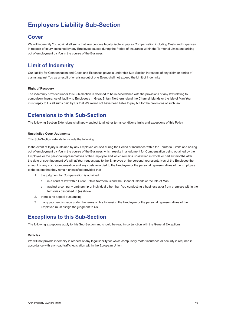# **Employers Liability Sub-Section**

### **Cover**

We will indemnify You against all sums that You become legally liable to pay as Compensation including Costs and Expenses in respect of Injury sustained by any Employee caused during the Period of Insurance within the Territorial Limits and arising out of employment by You in the course of the Business

### **Limit of Indemnity**

Our liability for Compensation and Costs and Expenses payable under this Sub-Section in respect of any claim or series of claims against You as a result of or arising out of one Event shall not exceed the Limit of Indemnity

#### **Right of Recovery**

The indemnity provided under this Sub-Section is deemed to be in accordance with the provisions of any law relating to compulsory insurance of liability to Employees in Great Britain Northern Island the Channel Islands or the Isle of Man You must repay to Us all sums paid by Us that We would not have been liable to pay but for the provisions of such law

### **Extensions to this Sub-Section**

The following Section Extensions shall apply subject to all other terms conditions limits and exceptions of this Policy

#### **Unsatisfied Court Judgments**

This Sub-Section extends to include the following

In the event of Injury sustained by any Employee caused during the Period of Insurance within the Territorial Limits and arising out of employment by You in the course of the Business which results in a judgment for Compensation being obtained by the Employee or the personal representatives of the Employee and which remains unsatisfied in whole or part six months after the date of such judgment We will at Your request pay to the Employee or the personal representatives of the Employee the amount of any such Compensation and any costs awarded to the Employee or the personal representatives of the Employee to the extent that they remain unsatisfied provided that

- 1. the judgment for Compensation is obtained
	- a. in a court of law within Great Britain Northern Island the Channel Islands or the Isle of Man
	- b. against a company partnership or individual other than You conducting a business at or from premises within the territories described in (a) above
- 2. there is no appeal outstanding
- 3. if any payment is made under the terms of this Extension the Employee or the personal representatives of the Employee must assign the judgment to Us

### **Exceptions to this Sub-Section**

The following exceptions apply to this Sub-Section and should be read in conjunction with the General Exceptions

#### **Vehicles**

We will not provide indemnity in respect of any legal liability for which compulsory motor insurance or security is required in accordance with any road traffic legislation within the European Union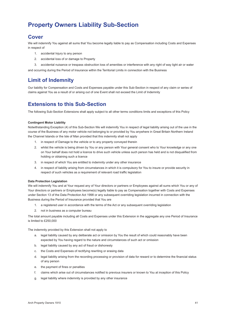### **Property Owners Liability Sub-Section**

### **Cover**

We will indemnify You against all sums that You become legally liable to pay as Compensation including Costs and Expenses in respect of

- 1. accidental Injury to any person
- 2. accidental loss of or damage to Property
- 3. accidental nuisance or trespass obstruction loss of amenities or interference with any right of way light air or water

and occurring during the Period of Insurance within the Territorial Limits in connection with the Business

### **Limit of Indemnity**

Our liability for Compensation and Costs and Expenses payable under this Sub-Section in respect of any claim or series of claims against You as a result of or arising out of one Event shall not exceed the Limit of Indemnity

### **Extensions to this Sub-Section**

The following Sub-Section Extensions shall apply subject to all other terms conditions limits and exceptions of this Policy

#### **Contingent Motor Liability**

Notwithstanding Exception (4) of this Sub-Section We will indemnify You in respect of legal liability arising out of the use in the course of the Business of any motor vehicle not belonging to or provided by You anywhere in Great Britain Northern Ireland the Channel Islands or the Isle of Man provided that this indemnity shall not apply

- 1. in respect of Damage to the vehicle or to any property conveyed therein
- 2. whilst the vehicle is being driven by You or any person with Your general consent who to Your knowledge or any one on Your behalf does not hold a licence to drive such vehicle unless such person has held and is not disqualified from holding or obtaining such a licence
- 3. in respect of which You are entitled to indemnity under any other insurance
- 4. in respect of liability arising from circumstances in which it is compulsory for You to insure or provide security in respect of such vehicles as a requirement of relevant road traffic legislation

#### **Data Protection Legislation**

We will indemnify You and at Your request any of Your directors or partners or Employees against all sums which You or any of Your directors or partners or Employees become(s) legally liable to pay as Compensation together with Costs and Expenses under Section 13 of the Data Protection Act 1998 or any subsequent overriding legislation incurred in connection with the Business during the Period of Insurance provided that You are

- 1. a registered user in accordance with the terms of the Act or any subsequent overriding legislation
- 2. not in business as a computer bureau

The total amount payable including all Costs and Expenses under this Extension in the aggregate any one Period of Insurance is limited to £250,000

The indemnity provided by this Extension shall not apply to

- a. legal liability caused by any deliberate act or omission by You the result of which could reasonably have been expected by You having regard to the nature and circumstances of such act or omission
- b. legal liability caused by any act of fraud or dishonesty
- c. the Costs and Expenses of rectifying rewriting or erasing data
- d. legal liability arising from the recording processing or provision of data for reward or to determine the financial status of any person
- e. the payment of fines or penalties
- f. claims which arise out of circumstances notified to previous insurers or known to You at inception of this Policy
- g. legal liability where indemnity is provided by any other insurance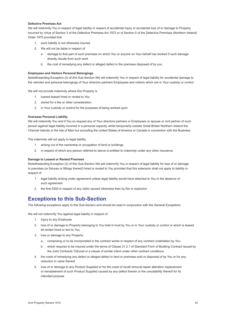#### **Defective Premises Act**

We will indemnify You in respect of legal liability in respect of accidental Injury or accidental loss of or damage to Property incurred by virtue of Section 3 of the Defective Premises Act 1972 or of Section 5 of the Defective Premises (Northern Ireland) Order 1975 provided that

- 1. such liability is not otherwise insured
- 2. We will not be liable in respect of
	- a. damage to that part of such premises on which You or anyone on Your behalf has worked if such damage directly results from such work
	- b. the cost of remedying any defect or alleged defect in the premises disposed of by you

#### **Employees and Visitors Personal Belongings**

Notwithstanding Exception (2) of this Sub-Section We will indemnify You in respect of legal liability for accidental damage to the vehicles and personal belongings of Your directors partners Employees and visitors which are in Your custody or control

We will not provide indemnity where this Property is

- 1. loaned leased hired or rented to You
- 2. stored for a fee or other consideration
- 3. in Your custody or control for the purposes of being worked upon

#### **Overseas Personal Liability**

We will indemnify You and if You so request any of Your directors partners or Employees or spouse or civil partner of such person against legal liability incurred in a personal capacity whilst temporarily outside Great Britain Northern Ireland the Channel Islands or the Isle of Man but excluding the United States of America or Canada in connection with the Business

The indemnity will not apply to legal liability

- 1. arising out of the ownership or occupation of land or buildings
- 2. in respect of which any person referred to above is entitled to indemnity under any other insurance

#### **Damage to Leased or Rented Premises**

Notwithstanding Exception (2) of this Sub-Section We will indemnify You in respect of legal liability for loss of or damage to premises (or fixtures or fittings thereof) hired or rented to You provided that this extension shall not apply to liability in respect of

- 1. legal liability arising under agreement unless legal liability would have attached to You in the absence of such agreement
- 2. the first £500 in respect of any claim caused otherwise than by fire or explosion

### **Exceptions to this Sub-Section**

The following exceptions apply to this Sub-Section and should be read in conjunction with the General Exceptions

We will not indemnify You against legal liability in respect of

- 1. Injury to any Employee
- 2. loss of or damage to Property belonging to You held in trust by You or in Your custody or control or which is leased let rented hired or lent to You
- 3. loss or damage to any Property
	- a. comprising or to be incorporated in the contract works in respect of any contract undertaken by You
	- b. which requires to be insured under the terms of Clause 21.2.1 of Standard Form of Building Contract issued by the Joint Contracts Tribunal or a clause of similar intent under other contract conditions
- 4. the costs of remedying any defect or alleged defect in land or premises sold or disposed of by You or for any reduction in value thereof
- 5. loss of or damage to any Product Supplied or for the costs of recall removal repair alteration replacement or reinstatement of such Product Supplied caused by any defect therein or the unsuitability thereof for its intended purpose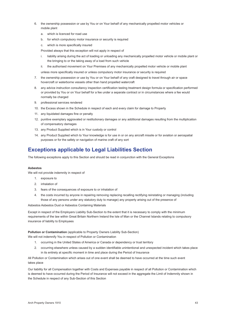- 6. the ownership possession or use by You or on Your behalf of any mechanically propelled motor vehicles or mobile plant
	- a. which is licenced for road use
	- b. for which compulsory motor insurance or security is required
	- c. which is more specifically insured

Provided always that this exception will not apply in respect of

- i. liability arising during the act of loading or unloading any mechanically propelled motor vehicle or mobile plant or the bringing to or the taking away of a load from such vehicle
- ii. the authorised movement on Your Premises of any mechanically propelled motor vehicle or mobile plant

 unless more specifically insured or unless compulsory motor insurance or security is required

- 7. the ownership possession or use by You or on Your behalf of any craft designed to travel through air or space hovercraft or waterborne vessels other than hand propelled watercraft
- 8. any advice instruction consultancy inspection certification testing treatment design formula or specification performed or provided by You or on Your behalf for a fee under a separate contract or in circumstances where a fee would normally be charged
- 9. professional services rendered
- 10. the Excess shown in the Schedule in respect of each and every claim for damage to Property
- 11. any liquidated damages fine or penalty
- 12. punitive exemplary aggravated or restitutionary damages or any additional damages resulting from the multiplication of compensatory damages
- 13. any Product Supplied which is in Your custody or control
- 14. any Product Supplied which to Your knowledge is for use in or on any aircraft missile or for aviation or aerospatial purposes or for the safety or navigation of marine craft of any sort

### **Exceptions applicable to Legal Liabilities Section**

The following exceptions apply to this Section and should be read in conjunction with the General Exceptions

#### **Asbestos**

We will not provide indemnity in respect of

- 1. exposure to
- 2. inhalation of
- 3. fears of the consequences of exposure to or inhalation of
- 4. the costs incurred by anyone in repairing removing replacing recalling rectifying reinstating or managing (including those of any persons under any statutory duty to manage) any property arising out of the presence of

Asbestos Asbestos Dust or Asbestos Containing Materials

Except in respect of the Employers Liability Sub-Section to the extent that it is necessary to comply with the minimum requirements of the law within Great Britain Northern Ireland the Isle of Man or the Channel Islands relating to compulsory insurance of liability to Employees

**Pollution or Contamination** (applicable to Property Owners Liability Sub-Section)

We will not indemnify You in respect of Pollution or Contamination

- 1. occurring in the United States of America or Canada or dependency or trust territory
- 2. occurring elsewhere unless caused by a sudden identifiable unintentional and unexpected incident which takes place in its entirety at specific moment in time and place during the Period of Insurance

All Pollution or Contamination which arises out of one event shall be deemed to have occurred at the time such event takes place

Our liability for all Compensation together with Costs and Expenses payable in respect of all Pollution or Contamination which is deemed to have occurred during the Period of Insurance will not exceed in the aggregate the Limit of Indemnity shown in the Schedule in respect of any Sub-Section of this Section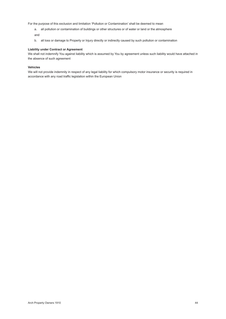For the purpose of this exclusion and limitation 'Pollution or Contamination' shall be deemed to mean

- a. all pollution or contamination of buildings or other structures or of water or land or the atmosphere and
- b. all loss or damage to Property or Injury directly or indirectly caused by such pollution or contamination

#### **Liability under Contract or Agreement**

We shall not indemnify You against liability which is assumed by You by agreement unless such liability would have attached in the absence of such agreement

#### **Vehicles**

We will not provide indemnity in respect of any legal liability for which compulsory motor insurance or security is required in accordance with any road traffic legislation within the European Union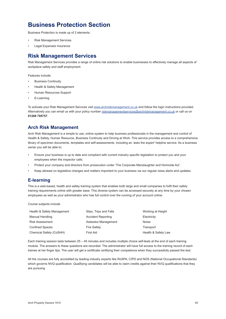### <span id="page-45-0"></span>**Business Protection Section**

Business Protection is made up of 2 elements:

- Risk Management Services
- Legal Expenses Insurance

### **Risk Management Services**

Risk Management Services provides a range of online risk solutions to enable businesses to effectively manage all aspects of workplace safety and staff employment.

Features include:

- **Business Continuity**
- Health & Safety Management
- Human Resources Support
- E-Learning

To activate your Risk Management Services visit [www.archriskmanagement.co](http://www.archriskmanagement.co.uk).uk and follow the login instructions provided. Alternatively you can email us with your policy number [riskmanagementservices@archriskmanagement.co.](mailto:riskmanagementservices%40archriskmanagement.co.uk?subject=)uk or call us on **01268 795757**.

### **Arch Risk Management**

Arch Risk Management is a simple to use, online system to help business professionals in the management and control of Health & Safety, Human Resource, Business Continuity and Driving at Work. This service provides access to a comprehensive library of specimen documents, templates and self-assessments, including an 'asks the expert' helpline service. As a business owner you will be able to:

- • Ensure your business is up to date and compliant with current industry specific legislation to protect you and your employees when the inspector calls.
- Protect your company and directors from prosecution under 'The Corporate Manslaughter and Homicide Act'.
- Keep abreast on legislative changes and matters important to your business via our regular news alerts and updates.

### **E-learning**

This is a web-based, health and safety training system that enables both large and small companies to fulfil their safety training requirements online with greater ease. This diverse system can be accessed securely at any time by your chosen employees as well as your administrator who has full control over the running of your account online.

Course subjects include

| Health & Safety Management | Slips, Trips and Falls    | Working at Height   |
|----------------------------|---------------------------|---------------------|
| Manual Handling            | <b>Accident Reporting</b> | Electricity         |
| <b>Risk Assessment</b>     | Asbestos Management       | Noise               |
| <b>Confined Spaces</b>     | <b>Fire Safety</b>        | Transport           |
| Chemical Safety (CoSHH)    | First Aid                 | Health & Safety Law |

Each training session lasts between 25 – 45 minutes and includes multiple choice self-tests at the end of each training module. The answers to these questions are recorded. The administrator will have full access to the training record of each trainee at her finger tips. The user will get a certificate certifying their competence when they successfully passed the test.

All the courses are fully accredited by leading industry experts like RoSPA, CIPD and NOS (National Occupational Standards) which governs NVQ qualification. Qualifying candidates will be able to claim credits against their NVQ qualifications that they are pursuing.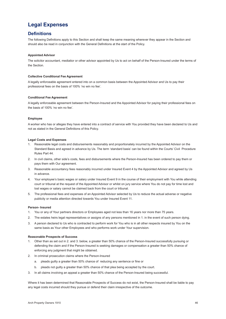### <span id="page-46-0"></span>**Legal Expenses**

### **Definitions**

The following Definitions apply to this Section and shall keep the same meaning wherever they appear in the Section and should also be read in conjunction with the General Definitions at the start of the Policy.

#### **Appointed Advisor**

The solicitor accountant, mediatior or other advisor appointed by Us to act on behalf of the Person-Insured under the terms of the Section.

#### **Collective Conditional Fee Agreement**

A legally enforceable agreement entered into on a common basis between the Appointed Advisor and Us to pay their professional fees on the basis of 100% 'no win no fee'.

#### **Conditional Fee Agreement**

A legally enforceable agreement between the Person-Insured and the Appointed Advisor for paying their professional fees on the basis of 100% 'no win no fee'.

#### **Employee**

A worker who has or alleges they have entered into a contract of service with You provided they have been declared to Us and not as stated in the General Definitions of this Policy.

#### **Legal Costs and Expenses**

- 1. Reasonable legal costs and disbursements reasonably and proportionately incurred by the Appointed Advisor on the Standard Basis and agreed in advance by Us. The term 'standard basis' can be found within the Courts' Civil Procedure Rules Part 44.
- 2. In civil claims, other side's costs, fees and disbursements where the Person-Insured has been ordered to pay them or pays them with Our agreement.
- 3. Reasonable accountancy fees reasonably incurred under Insured Event 4 by the Appointed Advisor and agreed by Us in advance.
- 4. Your employee's basic wages or salary under Insured Event 9 in the course of their employment with You while attending court or tribunal at the request of the Appointed Advisor or whilst on jury service where You do not pay for time lost and lost wages or salary cannot be claimed back from the court or tribunal.
- 5. The professional fees and expenses of an Appointed Advisor selected by Us to reduce the actual adverse or negative publicity or media attention directed towards You under Insured Event 11.

#### **Person- Insured**

- 1. You or any of Your partners directors or Employees aged not less than 16 years nor more than 75 years.
- 2. The estates heirs legal representatives or assigns of any persons mentioned in 1. in the event of such person dying.
- 3. A person declared to Us who is contracted to perform work for You who is in all other respects insured by You on the same basis as Your other Employees and who performs work under Your supervision.

#### **Reasonable Prospects of Success**

- 1. Other than as set out in 2. and 3. below, a greater than 50% chance of the Person-Insured successfully pursuing or defending the claim and if the Person-Insured is seeking damages or compensation a greater than 50% chance of enforcing any judgment that might be obtained.
- 2. In criminal prosecution claims where the Person-Insured
	- a. pleads guilty a greater than 50% chance of reducing any sentence or fine or
	- b. pleads not guilty a greater than 50% chance of that plea being accepted by the court.
- 3. In all claims involving an appeal a greater than 50% chance of the Person-Insured being successful.

Where it has been determined that Reasonable Prospects of Success do not exist, the Person-Insured shall be liable to pay any legal costs incurred should they pursue or defend their claim irrespective of the outcome.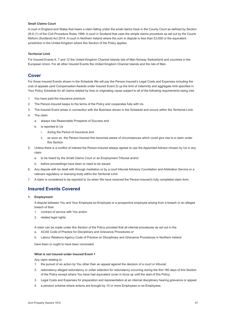#### **Small Claims Court**

A court in England and Wales that hears a claim falling under the small claims track in the County Court as defined by Section 26.6 (1) of the Civil Procedure Rules 1999. A court in Scotland that uses the simple claims procedure as set out by the Courts Reform (Scotland) Act 2014. A court in Northern Ireland where the sum in dispute is less than £3,000 or the equivalent jurisdiction in the United Kingdom where this Section of the Policy applies.

#### **Territorial Limit**

For Insured Events 6, 7 and 12 the United Kingdom Channel Islands Isle of Man Norway Switzerland and countries in the European Union. For all other Insured Events the United Kingdom Channel Islands and the Isle of Man.

### **Cover**

For those Insured Events shown in the Schedule We will pay the Person-Insured's Legal Costs and Expenses including the cost of appeals (and Compensation Awards under Insured Event 2) up the limit of indemnity and aggregate limit specified in Your Policy Schedule for all claims related by time or originating cause subject to all of the following requirements being met.

- 1. You have paid the insurance premium.
- 2. The Person-Insured keeps to the terms of the Policy and cooperates fully with Us.
- 3. The Insured Event arises in connection with the Business shown in the Schedule and occurs within the Territorial Limit.
- 4. The claim
	- a. always has Reasonable Prospects of Success and
	- b. is reported to Us
		- i. during the Period of Insurance and
		- ii. as soon as the Person-Insured first becomes aware of circumstances which could give rise to a claim under this Section
- 5. Unless there is a conflict of interest the Person-Insured always agrees to use the Appointed Advisor chosen by Us in any claim
	- a. to be heard by the Small Claims Court or an Employment Tribunal and/or
	- b. before proceedings have been or need to be issued.
- 6. Any dispute with be dealt with through mediation or by a court tribunal Advisory Conciliation and Arbitration Service or a relevant regulatory or licensing body within the Territorial Limit.
- 7. A claim is considered to be reported to Us when We have received the Person-Insured's fully completed claim form.

### **Insured Events Covered**

#### **1. Employment**

 A dispute between You and Your Employee ex-Employee or a prospective employee arising from a breach or an alleged breach of their

- 1. contract of service with You and/or
- 2. related legal rights

A claim can be made under this Section of the Policy provided that all internal procedures as set out in the a. ACAS Code of Practice for Disciplinary and Grievance Procedures or

b. Labour Relations Agency Code of Practice on Disciplinary and Grievance Procedures in Northern Ireland

have been or ought to have been concluded.

#### **What is not insured under Insured Event 1**

Any claim relating to

- 1. the pursuit of an action by You other than an appeal against the decision of a court or tribunal;
- 2. redundancy alleged redundancy or unfair selection for redundancy occurring during the first 180 days of this Section of the Policy except where You have had equivalent cover in force up until the start of this Policy;
- 3. Legal Costs and Expenses for preparation and representation at an internal disciplinary hearing grievance or appeal
- 4. a pension scheme where actions are brought by 10 or more Employees or ex-Employees.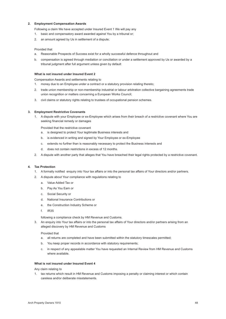#### **2. Employment Compensation Awards**

Following a claim We have accepted under Insured Event 1 We will pay any

- 1. basic and compensatory award awarded against You by a tribunal or;
- 2. an amount agreed by Us in settlement of a dispute;

#### Provided that

- a. Reasonable Prospects of Success exist for a wholly successful defence throughout and
- b. compensation is agreed through mediation or conciliation or under a settlement approved by Us or awarded by a tribunal judgment after full argument unless given by default

#### **What is not insured under Insured Event 2**

 Compensation Awards and settlements relating to

- 1. money due to an Employee under a contract or a statutory provision relating thereto;
- 2. trade union membership or non-membership industrial or labour arbitration collective bargaining agreements trade union recognition or matters concerning a European Works Council;
- 3. civil claims or statutory rights relating to trustees of occupational pension schemes.

#### **3. Employment Restrictive Covenants**

1. A dispute with your Employee or ex-Employee which arises from their breach of a restrictive covenant where You are seeking financial remedy or damages

Provided that the restrictive covenant

- a. is designed to protect Your legitimate Business interests and
- b. is evidenced in writing and signed by Your Employee or ex-Employee
- c. extends no further than is reasonably necessary to protect the Business interests and
- d. does not contain restrictions in excess of 12 months.
- 2. A dispute with another party that alleges that You have breached their legal rights protected by a restrictive covenant.

#### **4. Tax Protection**

- 1. A formally notified enquiry into Your tax affairs or into the personal tax affairs of Your directors and/or partners.
- 2. A dispute about Your compliance with regulations relating to
	- a. Value Added Tax or
	- b. Pay As You Earn or
	- c. Social Security or
	- d. National Insurance Contributions or
	- e. the Construction Industry Scheme or
	- f. IR35

 following a compliance check by HM Revenue and Customs.

3. An enquiry into Your tax affairs or into the personal tax affairs of Your directors and/or partners arising from an alleged discovery by HM Revenue and Customs

#### Provided that

- a. all returns are completed and have been submitted within the statutory timescales permitted;
- b. You keep proper records in accordance with statutory requirements;
- c. in respect of any appealable matter You have requested an Internal Review from HM Revenue and Customs where available.

#### **What is not insured under Insured Event 4**

Any claim relating to

1. tax returns which result in HM Revenue and Customs imposing a penalty or claiming interest or which contain careless and/or deliberate misstatements.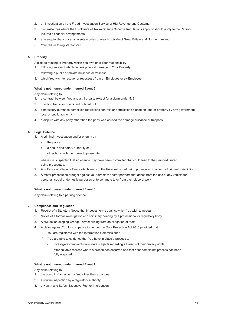- 2. an investigation by the Fraud Investigation Service of HM Revenue and Customs.
- 3. circumstances where the Disclosure of Tax Avoidance Scheme Regulations apply or should apply to the Person-Insured's financial arrangements.
- 4. any enquiry that concerns assets monies or wealth outside of Great Britain and Northern Ireland.
- 5. Your failure to register for VAT.

#### **5. Property**

A dispute relating to Property which You own or is Your responsibility

- 1. following an event which causes physical damage to Your Property.
- 2. following a public or private nuisance or trespass.
- 3. which You wish to recover or repossess from an Employee or ex-Employee.

#### **What is not insured under Insured Event 5**

Any claim relating to

- 1. a contract between You and a third party except for a claim under 5. 3.
- 2. goods in transit or goods lent or hired out.
- 3. compulsory purchase demolition restrictions controls or permissions placed on land or property by any government local or public authority.
- 4. a dispute with any party other than the party who caused the damage nuisance or trespass.

#### **6. Legal Defence**

- 1. A criminal investigation and/or enquiry by
	- a. the police
	- b. a health and safety authority or
	- c. other body with the power to prosecute

 where it is suspected that an offence may have been committed that could lead to the Person-Insured being prosecuted.

- 2. An offence or alleged offence which leads to the Person-Insured being prosecuted in a court of criminal jurisdiction.
- 3. A motor prosecution brought against Your directors and/or partners that arises from the use of any vehicle for personal, social or domestic purposes or to commute to or from their place of work.

#### **What is not insured under Insured Event 6**

 Any claim relating to a parking offence.

#### **7. Compliance and Regulation**

- 1. Receipt of a Statutory Notice that imposes terms against which You wish to appeal.
- 2. Notice of a formal investigation or disciplinary hearing by a professional or regulatory body.
- 3. A civil action alleging wrongful arrest arising from an allegation of theft.
- 4. A claim against You for compensation under the Data Protection Act 2018 provided that
	- i) You are registered with the Information Commissioner;
	- ii) You are able to evidence that You have in place a process to
		- investigate complaints from data subjects regarding a breach of their privacy rights,
		- offer suitable redress where a breach has occurred and that Your complaints process has been fully engaged.

#### **What is not insured under Insured Event 7**

Any claim relating to

- 1. the pursuit of an action by You other than an appeal.
- 2. a routine inspection by a regulatory authority.
- 3. a Health and Safety Executive Fee for Intervention.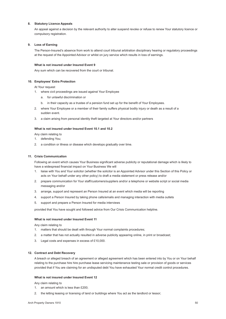#### **8. Statutory Licence Appeals**

 An appeal against a decision by the relevant authority to alter suspend revoke or refuse to renew Your statutory licence or compulsory registration.

#### **9. Loss of Earning**

 The Person-Insured's absence from work to attend court tribunal arbitration disciplinary hearing or regulatory proceedings at the request of the Appointed Advisor or whilst on jury service which results in loss of earnings.

#### **What is not insured under Insured Event 9**

Any sum which can be recovered from the court or tribunal.

#### **10. Employees' Extra Protection**

At Your request

- 1. where civil proceedings are issued against Your Employee
	- a. for unlawful discrimination or
	- b. in their capacity as a trustee of a pension fund set up for the benefit of Your Employees.
- 2. where Your Employee or a member of their family suffers physical bodily injury or death as a result of a sudden event.
- 3. a claim arising from personal identity theft targeted at Your directors and/or partners

#### **What is not insured under Insured Event 10.1 and 10.2**

Any claim relating to

- 1. defending You;
- 2. a condition or illness or disease which develops gradually over time.

#### **11. Crisis Communication**

Following an event which causes Your Business significant adverse publicity or reputational damage which is likely to have a widespread financial impact on Your Business We will

- 1. liaise with You and Your solicitor (whether the solicitor is an Appointed Advisor under this Section of this Policy or acts on Your behalf under any other policy) to draft a media statement or press release and/or
- 2. prepare communication for Your staff/customers/suppliers and/or a telephone or website script or social media messaging and/or
- 3. arrange, support and represent an Person Insured at an event which media will be reporting
- 4. support a Person Insured by taking phone calls/emails and managing interaction with media outlets
- 5. support and prepare a Person Insured for media interviews

 provided that You have sought and followed advice from Our Crisis Communication helpline.

#### **What is not insured under Insured Event 11**

Any claim relating to

- 1. matters that should be dealt with through Your normal complaints procedures;
- 2. a matter that has not actually resulted in adverse publicity appearing online, in print or broadcast;
- 3. Legal costs and expenses in excess of £10,000.

#### **12. Contract and Debt Recovery**

 A breach or alleged breach of an agreement or alleged agreement which has been entered into by You or on Your behalf relating to the purchase hire hire purchase lease servicing maintenance testing sale or provision of goods or services provided that if You are claiming for an undisputed debt You have exhausted Your normal credit control procedures.

#### **What is not insured under Insured Event 12**

Any claim relating to

- 1. an amount which is less than £200;
- 2. the letting leasing or licensing of land or buildings where You act as the landlord or lessor;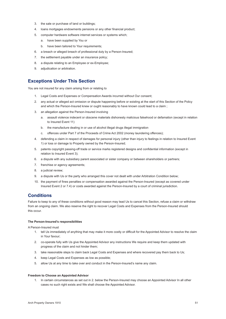- 3. the sale or purchase of land or buildings;
- 4. loans mortgages endowments pensions or any other financial product;
- 5. computer hardware software internet services or systems which;
	- a. have been supplied by You or
	- b. have been tailored to Your requirements;
- 6. a breach or alleged breach of professional duty by a Person-Insured;
- 7. the settlement payable under an insurance policy;
- 8. a dispute relating to an Employee or ex-Employee;
- 9. adjudication or arbitration.

### **Exceptions Under This Section**

You are not insured for any claim arising from or relating to

- 1. Legal Costs and Expenses or Compensation Awards incurred without Our consent;
- 2. any actual or alleged act omission or dispute happening before or existing at the start of this Section of the Policy and which the Person-Insured knew or ought reasonably to have known could lead to a claim ;
- 3. an allegation against the Person-Insured involving
	- a. assault violence indecent or obscene materials dishonesty malicious falsehood or defamation (except in relation to Insured Event 11)
	- b. the manufacture dealing in or use of alcohol illegal drugs illegal immigration
	- c. offences under Part 7 of the Proceeds of Crime Act 2002 (money laundering offences);
- 4. defending a claim in respect of damages for personal injury (other than injury to feelings in relation to Insured Event 1) or loss or damage to Property owned by the Person-Insured;
- 5. patents copyright passing-off trade or service marks registered designs and confidential information (except in relation to Insured Event 3);
- 6. a dispute with any subsidiary parent associated or sister company or between shareholders or partners;
- 7. franchise or agency agreements;
- 8. a judicial review;
- 9. a dispute with Us or the party who arranged this cover not dealt with under Arbitration Condition below;
- 10. the payment of fines penalties or compensation awarded against the Person-Insured (except as covered under Insured Event 2 or 7.4) or costs awarded against the Person-Insured by a court of criminal jurisdiction.

### **Conditions**

Failure to keep to any of these conditions without good reason may lead Us to cancel this Section, refuse a claim or withdraw from an ongoing claim. We also reserve the right to recover Legal Costs and Expenses from the Person-Insured should this occur.

#### **The Person-Insured's responsibilities**

A Person-Insured must

- 1. tell Us immediately of anything that may make it more costly or difficult for the Appointed Advisor to resolve the claim in Your favour;
- 2. co-operate fully with Us give the Appointed Advisor any instructions We require and keep them updated with progress of the claim and not hinder them;
- 3. take reasonable steps to claim back Legal Costs and Expenses and where recovered pay them back to Us;
- 4. keep Legal Costs and Expenses as low as possible;
- 5. allow Us at any time to take over and conduct in the Person-Insured's name any claim.

#### **Freedom to Choose an Appointed Advisor**

1. In certain circumstances as set out in 2. below the Person-Insured may choose an Appointed Advisor In all other cases no such right exists and We shall choose the Appointed Advisor.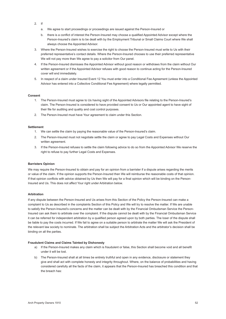- 2. If
	- a. We agree to start proceedings or proceedings are issued against the Person-Insured or
	- b. there is a conflict of interest the Person-Insured may choose a qualified Appointed Advisor except where the Person-Insured's claim is to be dealt with by the Employment Tribunal or Small Claims Court where We shall always choose the Appointed Advisor.
- 3. Where the Person-Insured wishes to exercise the right to choose the Person-Insured must write to Us with their preferred representative's contact details. Where the Person-Insured chooses to use their preferred representative We will not pay more than We agree to pay a solicitor from Our panel.
- 4. If the Person-Insured dismisses the Appointed Advisor without good reason or withdraws from the claim without Our written agreement or if the Appointed Advisor refuses with good reason to continue acting for the Person-Insured cover will end immediately.
- 5. In respect of a claim under Insured Event 12 You must enter into a Conditional Fee Agreement (unless the Appointed Advisor has entered into a Collective Conditional Fee Agreement) where legally permitted.

#### **Consent**

- 1. The Person-Insured must agree to Us having sight of the Appointed Advisors file relating to the Person-Insured's claim. The Person-Insured is considered to have provided consent to Us or Our appointed agent to have sight of their file for auditing and quality and cost control purposes.
- 2. The Person-Insured must have Your agreement to claim under this Section.

#### **Settlement**

- 1. We can settle the claim by paying the reasonable value of the Person-Insured's claim.
- 2. The Person-Insured must not negotiate settle the claim or agree to pay Legal Costs and Expenses without Our written agreement.
- 3. If the Person-Insured refuses to settle the claim following advice to do so from the Appointed Advisor We reserve the right to refuse to pay further Legal Costs and Expenses.

#### **Barristers Opinion**

We may require the Person-Insured to obtain and pay for an opinion from a barrister if a dispute arises regarding the merits or value of the claim. If the opinion supports the Person-Insured then We will reimburse the reasonable costs of that opinion. If that opinion conflicts with advice obtained by Us then We will pay for a final opinion which will be binding on the Person-Insured and Us. This does not affect Your right under Arbitration below.

#### **Arbitration**

If any dispute between the Person-Insured and Us arises from this Section of the Policy the Person-Insured can make a complaint to Us as described in the complaints Section of this Policy and We will try to resolve the matter. If We are unable to satisfy the Person-Insured's concerns and the matter can be dealt with by the Financial Ombudsman Service the Person-Insured can ask them to arbitrate over the complaint. If the dispute cannot be dealt with by the Financial Ombudsman Service it can be referred for independent arbitration by a qualified person agreed upon by both parties. The loser of the dispute shall be liable to pay the costs incurred. If We fail to agree on a suitable person to arbitrate the matter We will ask the President of the relevant law society to nominate. The arbitration shall be subject the Arbitration Acts and the arbitrator's decision shall be binding on all the parties.

#### **Fraudulent Claims and Claims Tainted by Dishonesty**

- a) If the Person-Insured makes any claim which is fraudulent or false, this Section shall become void and all benefit under it will be lost.
- b) The Person-Insured shall at all times be entirely truthful and open in any evidence, disclosure or statement they give and shall act with complete honesty and integrity throughout. Where, on the balance of probabilities and having considered carefully all the facts of the claim, it appears that the Person-Insured has breached this condition and that the breach has: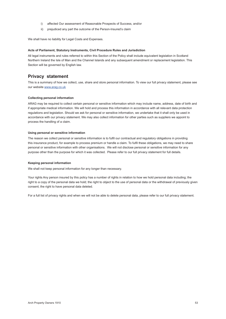- i) affected Our assessment of Reasonable Prospects of Success, and/or
- ii) prejudiced any part the outcome of the Person-Insured's claim

We shall have no liability for Legal Costs and Expenses.

#### **Acts of Parliament, Statutory Instruments, Civil Procedure Rules and Jurisdiction**

All legal instruments and rules referred to within this Section of the Policy shall include equivalent legislation in Scotland Northern Ireland the Isle of Man and the Channel Islands and any subsequent amendment or replacement legislation. This Section will be governed by English law.

#### **Privacy statement**

This is a summary of how we collect, use, share and store personal information. To view our full privacy statement, please see our website [www.arag.co.uk](http://www.arag.co.uk)

#### **Collecting personal information**

ARAG may be required to collect certain personal or sensitive information which may include name, address, date of birth and if appropriate medical information. We will hold and process this information in accordance with all relevant data protection regulations and legislation. Should we ask for personal or sensitive information, we undertake that it shall only be used in accordance with our privacy statement. We may also collect information for other parties such as suppliers we appoint to process the handling of a claim.

#### **Using personal or sensitive information**

The reason we collect personal or sensitive information is to fulfil our contractual and regulatory obligations in providing this insurance product, for example to process premium or handle a claim. To fulfil these obligations, we may need to share personal or sensitive information with other organisations. We will not disclose personal or sensitive information for any purpose other than the purpose for which it was collected. Please refer to our full privacy statement for full details.

#### **Keeping personal information**

We shall not keep personal information for any longer than necessary.

Your rights Any person insured by this policy has a number of rights in relation to how we hold personal data including; the right to a copy of the personal data we hold; the right to object to the use of personal data or the withdrawal of previously given consent; the right to have personal data deleted.

For a full list of privacy rights and when we will not be able to delete personal data, please refer to our full privacy statement.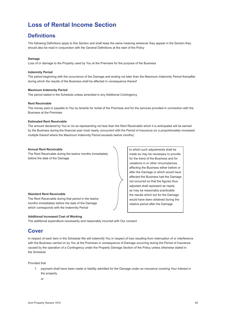### <span id="page-54-0"></span>**Loss of Rental Income Section**

### **Definitions**

The following Definitions apply to this Section and shall keep the same meaning wherever they appear in the Section they should also be read in conjunction with the General Definitions at the start of the Policy

#### **Damage**

Loss of or damage to the Property used by You at the Premises for the purpose of the Business

#### **Indemnity Period**

The period beginning with the occurrence of the Damage and ending not later than the Maximum Indemnity Period thereafter during which the results of the Business shall be affected in consequence thereof

#### **Maximum Indemnity Period**

The period stated in the Schedule unless amended in any Additional Contingency

#### **Rent Receivable**

The money paid or payable to You by tenants for rental of the Premises and for the services provided in connection with the Business at the Premises

#### **Estimated Rent Receivable**

The amount declared by You to Us as representing not less than the Rent Receivable which it is anticipated will be earned by the Business during the financial year most nearly concurrent with the Period of Insurance (or a proportionately increased multiple thereof where the Maximum Indemnity Period exceeds twelve months)

#### **Annual Rent Receivable**

The Rent Receivable during the twelve months immediately before the date of the Damage

#### **Standard Rent Receivable**

The Rent Receivable during that period in the twelve months immediately before the date of the Damage which corresponds with the Indemnity Period

#### **Additional Increased Cost of Working**

The additional expenditure necessarily and reasonably incurred with Our consent

### **Cover**

In respect of each item in the Schedule We will indemnify You in respect of loss resulting from interruption of or interference with the Business carried on by You at the Premises in consequence of Damage occurring during the Period of Insurance caused by the operation of a Contingency under the Property Damage Section of the Policy unless otherwise stated in the Schedule

#### Provided that

- 1. payment shall have been made or liability admitted for the Damage under an insurance covering Your interest in the property
	- or

to which such adjustments shall be made as may be necessary to provide for the trend of the Business and for variations in or other circumstances affecting the Business either before or after the Damage or which would have affected the Business had the Damage not occurred so that the figures thus adjusted shall represent as nearly as may be reasonably practicable the results which but for the Damage would have been obtained during the relative period after the Damage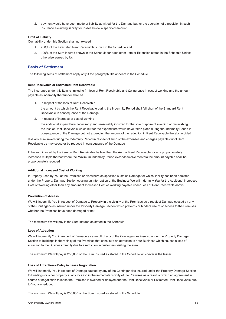2. payment would have been made or liability admitted for the Damage but for the operation of a provision in such insurance excluding liability for losses below a specified amount

#### **Limit of Liability**

Our liability under this Section shall not exceed

- 1. 200% of the Estimated Rent Receivable shown in the Schedule and
- 2. 100% of the Sum Insured shown in the Schedule for each other item or Extension stated in the Schedule Unless otherwise agreed by Us

#### **Basis of Settlement**

The following items of settlement apply only if the paragraph title appears in the Schedule

#### **Rent Receivable or Estimated Rent Receivable**

The insurance under this item is limited to (1) loss of Rent Receivable and (2) increase in cost of working and the amount payable as indemnity thereunder shall be

1. in respect of the loss of Rent Receivable

 the amount by which the Rent Receivable during the Indemnity Period shall fall short of the Standard Rent Receivable in consequence of the Damage

2. in respect of increase of cost of working

 the additional expenditure necessarily and reasonably incurred for the sole purpose of avoiding or diminishing the loss of Rent Receivable which but for the expenditure would have taken place during the Indemnity Period in consequence of the Damage but not exceeding the amount of the reduction in Rent Receivable thereby avoided

less any sum saved during the Indemnity Period in respect of such of the expenses and charges payable out of Rent Receivable as may cease or be reduced in consequence of the Damage

If the sum insured by the item on Rent Receivable be less than the Annual Rent Receivable (or at a proportionately increased multiple thereof where the Maximum lndemnity Period exceeds twelve months) the amount payable shall be proportionately reduced

#### **Additional Increased Cost of Working**

If Property used by You at the Premises or elsewhere as specified sustains Damage for which liability has been admitted under the Property Damage Section causing an interruption of the Business We will indemnify You for the Additional Increased Cost of Working other than any amount of Increased Cost of Working payable under Loss of Rent Receivable above

#### **Prevention of Access**

We will indemnify You in respect of Damage to Property in the vicinity of the Premises as a result of Damage caused by any of the Contingencies insured under the Property Damage Section which prevents or hinders use of or access to the Premises whether the Premises have been damaged or not

The maximum We will pay is the Sum Insured as stated in the Schedule

#### **Loss of Attraction**

We will indemnify You in respect of Damage as a result of any of the Contingencies insured under the Property Damage Section to buildings in the vicinity of the Premises that constitute an attraction to Your Business which causes a loss of attraction to the Business directly due to a reduction in customers visiting the area

The maximum We will pay is £50,000 or the Sum Insured as stated in the Schedule whichever is the lesser

#### **Loss of Attraction – Delay in Lease Negotiation**

We will indemnify You in respect of Damage caused by any of the Contingencies insured under the Property Damage Section to Buildings or other property at any location in the immediate vicinity of the Premises as a result of which an agreement in course of negotiation to lease the Premises is avoided or delayed and the Rent Receivable or Estimated Rent Receivable due to You are reduced

The maximum We will pay is £50,000 or the Sum Insured as stated in the Schedule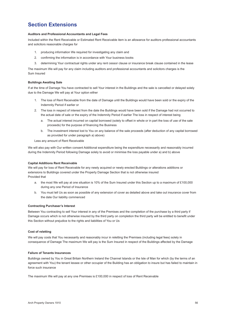### **Section Extensions**

#### **Auditors and Professional Accountants and Legal Fees**

Included within the Rent Receivable or Estimated Rent Receivable item is an allowance for auditors professional accountants and solicitors reasonable charges for

- 1. producing information We required for investigating any claim and
- 2. confirming the information is in accordance with Your business books
- 3. determining Your contractual rights under any rent cessor clause or insurance break clause contained in the lease

The maximum We will pay for any claim including auditors and professional accountants and solicitors charges is the Sum Insured

#### **Buildings Awaiting Sale**

If at the time of Damage You have contracted to sell Your interest in the Buildings and the sale is cancelled or delayed solely due to the Damage We will pay at Your option either

- 1. The loss of Rent Receivable from the date of Damage until the Buildings would have been sold or the expiry of the Indemnity Period if earlier or
- 2. The loss in respect of interest from the date the Buildings would have been sold if the Damage had not occurred to the actual date of sale or the expiry of the Indemnity Period if earlier The loss in respect of interest being
	- a. The actual interest incurred on capital borrowed (solely to offset in whole or in part the loss of use of the sale proceeds) for the purpose of financing the Business
	- b. The investment interest lost to You on any balance of the sale proceeds (after deduction of any capital borrowed as provided for under paragraph a) above)

Less any amount of Rent Receivable

We will also pay with Our written consent Additional expenditure being the expenditure necessarily and reasonably incurred during the Indemnity Period following Damage solely to avoid or minimise the loss payable under a) and b) above

#### **Capital Additions Rent Receivable**

We will pay for loss of Rent Receivable for any newly acquired or newly erected Buildings or alterations additions or extensions to Buildings covered under the Property Damage Section that is not otherwise insured Provided that

- a. the most We will pay at one situation is 10% of the Sum Insured under this Section up to a maximum of £100,000 during any one Period of Insurance
- b. You must tell Us as soon as possible of any extension of cover as detailed above and take out insurance cover from the date Our liability commenced

#### **Contracting Purchaser's Interest**

Between You contracting to sell Your interest in any of the Premises and the completion of the purchase by a third party if Damage occurs which is not otherwise insured by the third party on completion the third party will be entitled to benefit under this Section without prejudice to the rights and liabilities of You or Us

#### **Cost of reletting**

We will pay costs that You necessarily and reasonably incur in reletting the Premises (including legal fees) solely in consequence of Damage The maximum We will pay is the Sum Insured in respect of the Buildings affected by the Damage

#### **Failure of Tenants Insurances**

Buildings owned by You in Great Britain Northern Ireland the Channel Islands or the Isle of Man for which (by the terms of an agreement with You) the tenant lessee or other occupier of the Building has an obligation to insure but has failed to maintain in force such insurance

The maximum We will pay at any one Premises is £100,000 in respect of loss of Rent Receivable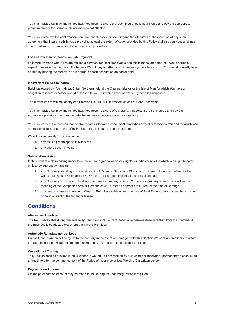You must advise Us in writing immediately You become aware that such insurance is not in force and pay the appropriate premium due for the period such insurance is not effected

You must obtain written confirmation from the tenant lessee or occupier and their Insurers at the inception of any such agreement that insurance is in force providing at least the extent of cover provided by this Policy and also carry out an annual check that such insurance is in force for all such properties

#### **Loss of Investment Income on Late Payment**

Following Damage where We are making a payment for Rent Receivable and this is made later than You would normally expect to receive payment from the tenants We will pay a further sum representing the interest which You would normally have earned by placing the money in Your normal deposit account on an earlier date

#### **Inadvertent Failure to Insure**

Buildings owned by You in Great Britain Northern Ireland the Channel Islands or the Isle of Man for which You have an obligation to insure (whether owned or leased to You) but which have inadvertently been left uninsured

The maximum We will pay at any one Premises is £100,000 in respect of loss of Rent Receivable

You must advise Us in writing immediately You become aware of a property inadvertently left uninsured and pay the appropriate premium due from the date the insurance becomes Your responsibility

You must carry out at not less than twelve months intervals a check of all properties owned or leased by You and for which You are responsible to ensure that effective insurance is in force on each of them

We will not indemnify You in respect of

- 1. any building more specifically insured
- 2. any appreciation in value

#### **Subrogation Waiver**

In the event of a claim arising under this Section We agree to waive any rights remedies or relief to which We might become entitled by subrogation against

- 1. any Company standing in the relationship of Parent to Subsidiary (Subsidiary to Parent) to You as defined in the Companies Acts or Companies (NI) Order as appropriate current at the time of Damage
- 2. any Company which is a Subsidiary of a Parent Company of which You are a subsidiary in each case within the meaning of the Companies Acts or Companies (NI) Order as appropriate current at the time of Damage
- 3. any tenant or lessee in respect of loss of Rent Receivable unless the loss of Rent Receivable is caused by a criminal or malicious act of the tenant or lessee

### **Conditions**

#### **Alternative Premises**

The Rent Receivable during the Indemnity Period will include Rent Receivable derived elsewhere than from the Premises if the Business is conducted elsewhere than at the Premises

#### **Automatic Reinstatement of Loss**

Unless there is written notice by Us to the contrary in the event of Damage under this Section We shall automatically reinstate the Sum Insured provided that You undertake to pay the appropriate additional premium

#### **Cessation of Trading**

This Section shall be avoided if the Business is wound up or carried on by a liquidator or receiver or permanently discontinued at any time after the commencement of the Period of Insurance unless We give Our written consent

#### **Payments on Account**

Claims payments on account may be made to You during the Indemnity Period if required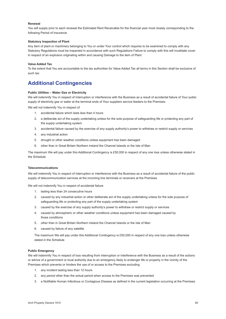#### **Renewal**

You will supply prior to each renewal the Estimated Rent Receivable for the financial year most closely corresponding to the following Period of Insurance

#### **Statutory Inspection of Plant**

Any item of plant or machinery belonging to You or under Your control which requires to be examined to comply with any Statutory Regulations must be inspected in accordance with such Regulations Failure to comply with this will invalidate cover in respect of an explosion originating within and causing Damage to the item of Plant

#### **Value Added Tax**

To the extent that You are accountable to the tax authorities for Value Added Tax all terms in this Section shall be exclusive of such tax

### **Additional Contingencies**

#### **Public Utilities – Water Gas or Electricity**

We will indemnify You in respect of interruption or interference with the Business as a result of accidental failure of Your public supply of electricity gas or water at the terminal ends of Your suppliers service feeders to the Premises

We will not indemnify You in respect of

- 1. accidental failure which lasts less than 4 hours
- 2. a deliberate act of the supply undertaking unless for the sole purpose of safeguarding life or protecting any part of the supply undertaking system
- 3. accidental failure caused by the exercise of any supply authority's power to withdraw or restrict supply or services
- 4. any industrial action
- 5. drought or other weather conditions unless equipment has been damaged
- 6. other than in Great Britain Northern Ireland the Channel Islands or the Isle of Man

The maximum We will pay under this Additional Contingency is £50,000 in respect of any one loss unless otherwise stated in the Schedule

#### **Telecommunications**

We will indemnify You in respect of interruption or interference with the Business as a result of accidental failure of the public supply of telecommunication services at the incoming line terminals or receivers at the Premises

We will not indemnify You in respect of accidental failure

- 1. lasting less than 24 consecutive hours
- 2. caused by any industrial action or other deliberate act of the supply undertaking unless for the sole purpose of safeguarding life or protecting any part of the supply undertaking system
- 3. caused by the exercise of any supply authority's power to withdraw or restrict supply or services
- 4. caused by atmospheric or other weather conditions unless equipment has been damaged caused by those conditions
- 5. other than in Great Britain Northern Ireland the Channel Islands or the Isle of Man
- 6. caused by failure of any satellite

The maximum We will pay under this Additional Contingency is £50,000 in respect of any one loss unless otherwise stated in the Schedule

#### **Public Emergency**

We will indemnify You in respect of loss resulting from interruption or interference with the Business as a result of the actions or advice of a government or local authority due to an emergency likely to endanger life or property in the vicinity of the Premises which prevents or hinders the use of or access to the Premises excluding

- 1. any incident lasting less than 12 hours
- 2. any period other than the actual period when access to the Premises was prevented
- 3. a Notifiable Human Infectious or Contagious Disease as defined in the current legislation occurring at the Premises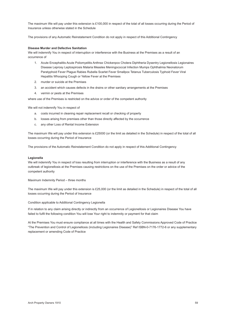The maximum We will pay under this extension is £100,000 in respect of the total of all losses occurring during the Period of Insurance unless otherwise stated in the Schedule

The provisions of any Automatic Reinstatement Condition do not apply in respect of this Additional Contingency

#### **Disease Murder and Defective Sanitation**

We will indemnify You in respect of interruption or interference with the Business at the Premises as a result of an occurrence of

- 1. Acute Encephalitis Acute Poliomyelitis Anthrax Chickenpox Cholera Diphtheria Dysentry Legionellosis Legionaires Disease Leprosy Leptospirosis Malaria Measles Meningococcal Infection Mumps Ophthalmia Neonatorum Paratyphoid Fever Plague Rabies Rubella Scarlet Fever Smallpox Tetanus Tuberculosis Typhoid Fever Viral Hepatitis Whooping Cough or Yellow Fever at the Premises
- 2. murder or suicide at the Premises
- 3. an accident which causes defects in the drains or other sanitary arrangements at the Premises
- 4. vermin or pests at the Premises

where use of the Premises is restricted on the advice or order of the competent authority

We will not indemnify You in respect of

- a. costs incurred in cleaning repair replacement recall or checking of property
- b. losses arising from premises other than those directly affected by the occurrence
- c. any other Loss of Rental Income Extension

The maximum We will pay under this extension is £25000 (or the limit as detailed in the Schedule) in respect of the total of all losses occurring during the Period of Insurance

The provisions of the Automatic Reinstatement Condition do not apply in respect of this Additional Contingency

#### **Legionella**

We will indemnify You in respect of loss resulting from interruption or interference with the Business as a result of any outbreak of legionellosis at the Premises causing restrictions on the use of the Premises on the order or advice of the competent authority

Maximum Indemnity Period – three months

The maximum We will pay under this extension is £25,000 (or the limit as detailed in the Schedule) in respect of the total of all losses occurring during the Period of Insurance

Condition applicable to Additional Contingency Legionella

If in relation to any claim arising directly or indirectly from an occurrence of Legionellosis or Legionaires Disease You have failed to fulfil the following condition You will lose Your right to indemnity or payment for that claim

At the Premises You must ensure compliance at all times with the Health and Safety Commissions Approved Code of Practice "The Prevention and Control of Legionellosis (including Legionaires Disease)" Ref ISBN-0-7176-1772-6 or any supplementary replacement or amending Code of Practice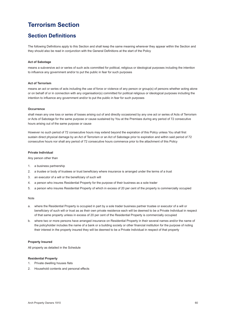### <span id="page-60-0"></span>**Terrorism Section**

### **Section Definitions**

The following Definitions apply to this Section and shall keep the same meaning wherever they appear within the Section and they should also be read in conjunction with the General Definitions at the start of the Policy

#### **Act of Sabotage**

means a subversive act or series of such acts committed for political, religious or ideological purposes including the intention to influence any government and/or to put the public in fear for such purposes

#### **Act of Terrorism**

means an act or series of acts including the use of force or violence of any person or group(s) of persons whether acting alone or on behalf of or in connection with any organisation(s) committed for political religious or ideological purposes including the intention to influence any government and/or to put the public in fear for such purposes

#### **Occurrence**

shall mean any one loss or series of losses arising out of and directly occasioned by any one act or series of Acts of Terrorism or Acts of Sabotage for the same purpose or cause sustained by You at the Premises during any period of 72 consecutive hours arising out of the same purpose or cause

However no such period of 72 consecutive hours may extend beyond the expiration of this Policy unless You shall first sustain direct physical damage by an Act of Terrorism or an Act of Sabotage prior to expiration and within said period of 72 consecutive hours nor shall any period of 72 consecutive hours commence prior to the attachment of this Policy

#### **Private Individual**

Any person other than

- 1. a business partnership
- 2. a trustee or body of trustees or trust beneficiary where insurance is arranged under the terms of a trust
- 3. an executor of a will or the beneficiary of such will
- 4. a person who insures Residential Property for the purpose of their business as a sole trader
- 5. a person who insures Residential Property of which in excess of 20 per cent of the property is commercially occupied

#### Note

- a. where the Residential Property is occupied in part by a sole trader business partner trustee or executor of a will or beneficiary of such will or trust as as their own private residence each will be deemed to be a Private Individual in respect of that same property unless in excess of 20 per cent of the Residential Property is commercially occupied
- b. where two or more persons have arranged insurance on Residential Property in their several names and/or the name of the policyholder includes the name of a bank or a building society or other financial institution for the purpose of noting their interest in the property insured they will be deemed to be a Private Individual in respect of that property

#### **Property Insured**

All property as detailed in the Schedule

#### **Residential Property**

- 1. Private dwelling houses flats
- 2. Household contents and personal effects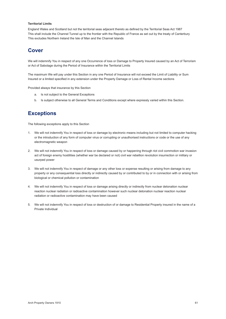#### **Territorial Limits**

England Wales and Scotland but not the territorial seas adjacent thereto as defined by the Territorial Seas Act 1987 This shall include the Channel Tunnel up to the frontier with the Republic of France as set out by the treaty of Canterbury This excludes Northern Ireland the Isle of Man and the Channel Islands

### **Cover**

We will indemnify You in respect of any one Occurrence of loss or Damage to Property Insured caused by an Act of Terrorism or Act of Sabotage during the Period of Insurance within the Territorial Limits

The maximum We will pay under this Section in any one Period of Insurance will not exceed the Limit of Liability or Sum Insured or a limited specified in any extension under the Property Damage or Loss of Rental Income sections

Provided always that insurance by this Section

- a. Is not subject to the General Exceptions
- b. Is subject otherwise to all General Terms and Conditions except where expressly varied within this Section.

### **Exceptions**

The following exceptions apply to this Section

- 1. We will not indemnify You in respect of loss or damage by electronic means including but not limited to computer hacking or the introduction of any form of computer virus or corrupting or unauthorised instructions or code or the use of any electromagnetic weapon
- 2. We will not indemnify You in respect of loss or damage caused by or happening through riot civil commotion war invasion act of foreign enemy hostilities (whether war be declared or not) civil war rebellion revolution insurrection or military or usurped power
- 3. We will not indemnify You in respect of damage or any other loss or expense resulting or arising from damage to any property or any consequential loss directly or indirectly caused by or contributed to by or in connection with or arising from biological or chemical pollution or contamination
- 4. We will not indemnify You in respect of loss or damage arising directly or indirectly from nuclear detonation nuclear reaction nuclear radiation or radioactive contamination however such nuclear detonation nuclear reaction nuclear radiation or radioactive contamination may have been caused
- 5. We will not indemnify You in respect of loss or destruction of or damage to Residential Property insured in the name of a Private Individual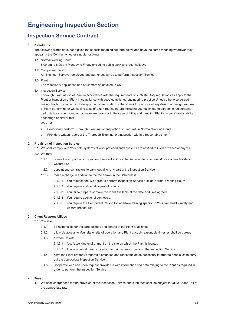### <span id="page-62-0"></span>**Engineering Inspection Section**

### **Inspection Service Contract**

#### **1. Definitions**

The following words have been given the specific meaning set forth below and have the same meaning wherever they appear in the Contract whether singular or plural

- 1.1 Normal Working Hours 8:00 am to 6:00 pm Monday to Friday excluding public bank and local holidays
- 1.2 Competent Person An Engineer Surveyor employed and authorised by Us to perform Inspection Service
- 1.3 Plant

The machinery appliances and equipment as detailed to Us

1.4 Inspection Service

 Thorough Examination of Plant in accordance with the requirements of such statutory regulations as apply to the Plant or Inspection of Plant in compliance with good established engineering practice Unless otherwise agreed in writing this term shall not include approval or verification of the fitness for purpose of any design or design features of Plant performing or witnessing tests of a non-routine nature including but not limited to ultrasonic radiographic hydrostatic or other non-destructive examination or in the case of lifting and handling Plant any proof load stability anchorage or similar test

We shall

- a. Periodically perform Thorough Examination/Inspection of Plant within Normal Working Hours
- b. Provide a written report of the Thorough Examination/Inspection within a reasonable time

#### **2 Provision of Inspection Service**

 2.1 We shall comply with Your safe systems of work provided such systems are notified to Us in advance of any visit

- 2.2 We may
	- 1.2.1 refuse to carry out any Inspection Service if at Our sole discretion to do so would pose a health safety or welfare risk
	- 1.2.2 appoint sub-contractors to carry out all or any part of the Inspection Service
	- 1.2.3 make a charge in addition to the fee shown in the Schedule if
		- 2.1.3.1 You request and We agree to perform Inspection Service outside Normal Working Hours
		- 2.1.3.2 You require additional copies of reports
		- 2.1.3.3 You fail to prepare or make the Plant available at the date and time agreed
		- 2.1.3.4 You require additional services or
		- 2.1.3.5 You require the Competent Person to undertake training specific to Your own health safety and welfare procedures

#### **3 Client Responsibilities**

- 3.1 You shall
	- 3.1.1 be responsible for the care custody and control of the Plant at all times
	- 3.1.2 allow Us access to Your site or site of operation and Plant at such reasonable times as shall be agreed
	- 3.1.3 provide Us with
		- 3.1.3.1 A safe working environment on the site on which the Plant is located
		- 3.1.3.2 A safe physical means by which to gain access to perform the Inspection Service
	- 3.1.4 have the Plant properly prepared dismantled and reassembled as necessary in order to enable Us to carry out the appropriate Inspection Service
	- 3.1.5 Cooperate with and upon request provide Us with information and data relating to the Plant as required in order to perform the Inspection Service

#### **4 Fees**

4.1 We shall charge fees for the provision of the Inspection Service and such fees shall be subject to Value Added Tax at the appropriate rate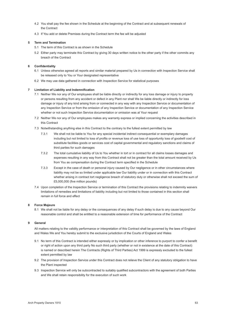- 4.2 You shall pay the fee shown in the Schedule at the beginning of the Contract and at subsequent renewals of the Contract
- 4.3 If You add or delete Premises during the Contract term the fee will be adjusted

#### **5 Term and Termination**

- 5.1 The term of this Contract is as shown in the Schedule
- 5.2 Either party may terminate this Contract by giving 30 days written notice to the other party if the other commits any breach of the Contract

#### **6 Confidentiality**

- 6.1 Unless otherwise agreed all reports and similar material prepared by Us in connection with Inspection Service shall be released only to You or Your designated representative
- 6.2 We may use data gathered in connection with Inspection Service for statistical purposes

#### **7 Limitation of Liability and Indemnification**

- 7.1 Neither We nor any of Our employees shall be liable directly or indirectly for any loss damage or injury to property or persons resulting from any accident or defect in any Plant nor shall We be liable directly or indirectly for loss damage or injury of any kind arising from or connected in any way with any Inspection Service or documentation of any Inspection Service or from the omission of any Inspection Service or documentation of any Inspection Service whether or not such Inspection Service documentation or omission was at Your request
- 7.2 Neither We nor any of Our employees makes any warranty express or implied concerning the activities described in this Contract
- 7.3 Notwithstanding anything else in this Contract to the contrary to the fullest extent permitted by law
	- 7.3.1 We shall not be liable to You for any special incidental indirect consequential or exemplary damages including but not limited to loss of profits or revenue loss of use loss of opportunity loss of goodwill cost of substitute facilities goods or services cost of capital governmental and regulatory sanctions and claims of third parties for such damages
	- 7.3.2 The total cumulative liability of Us to You whether in tort or in contract for all claims losses damages and expenses resulting in any way from this Contract shall not be greater than the total amount received by Us from You as compensation during the Contract term specified in the Schedule
	- 7.3.3 Except in the case of death or personal injury caused by Our negligence or in other circumstances where liability may not be so limited under applicable law Our liability under or in connection with this Contract whether arising in contract tort negligence breach of statutory duty or otherwise shall not exceed the sum of £5,000,000 (five million pounds)
- 7.4 Upon completion of the Inspection Service or termination of this Contract the provisions relating to indemnity waivers limitations of remedies and limitations of liability including but not limited to those contained in this section shall remain in full force and effect

#### **8 Force Majeure**

 8.1 We shall not be liable for any delay or the consequences of any delay if such delay is due to any cause beyond Our reasonable control and shall be entitled to a reasonable extension of time for performance of the Contract

#### **9 General**

All matters relating to the validity performance or interpretation of this Contract shall be governed by the laws of England and Wales We and You hereby submit to the exclusive jurisdiction of the Courts of England and Wales

- 9.1 No term of this Contract is intended either expressly or by implication or other inference to purport to confer a benefit or right of action upon any third party No such third party (whether or not in existence at the date of this Contract) is named or described herein The Contracts (Rights of Third Parties) Act 1999 is expressly excluded to the fullest extent permitted by law
- 9.2 The provision of Inspection Service under this Contract does not relieve the Client of any statutory obligation to have the Plant inspected
- 9.3 Inspection Service will only be subcontracted to suitably qualified subcontractors with the agreement of both Parties and We shall retain responsibility for the execution of such work